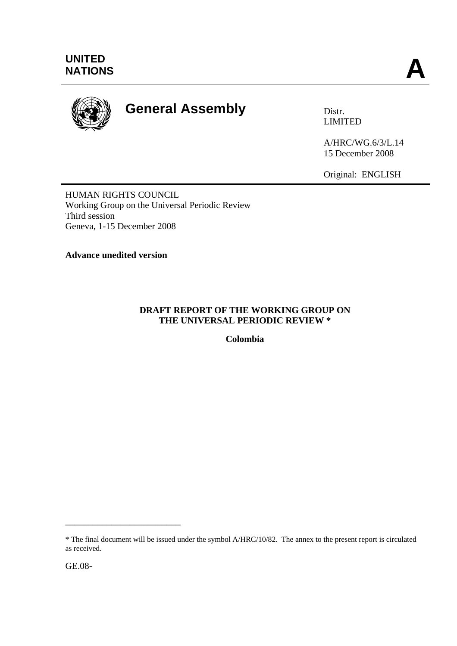

# **General Assembly Distra Distr.**

LIMITED

A/HRC/WG.6/3/L.14 15 December 2008

Original: ENGLISH

HUMAN RIGHTS COUNCIL Working Group on the Universal Periodic Review Third session Geneva, 1-15 December 2008

**Advance unedited version**

# **DRAFT REPORT OF THE WORKING GROUP ON THE UNIVERSAL PERIODIC REVIEW \***

**Colombia** 

\_\_\_\_\_\_\_\_\_\_\_\_\_\_\_\_\_\_\_\_\_\_\_\_\_

<sup>\*</sup> The final document will be issued under the symbol A/HRC/10/82. The annex to the present report is circulated as received.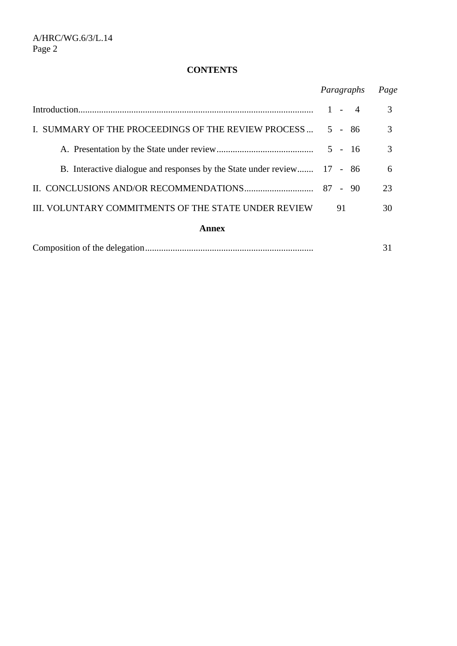# **CONTENTS**

|                                                                         | Paragraphs              | Page |
|-------------------------------------------------------------------------|-------------------------|------|
|                                                                         | $\overline{4}$<br>$1 -$ | 3    |
| I. SUMMARY OF THE PROCEEDINGS OF THE REVIEW PROCESS  5 - 86             |                         | 3    |
|                                                                         |                         | 3    |
| B. Interactive dialogue and responses by the State under review 17 - 86 |                         | 6    |
|                                                                         |                         | 23   |
| III. VOLUNTARY COMMITMENTS OF THE STATE UNDER REVIEW                    | 91                      | 30   |
| Annex                                                                   |                         |      |
|                                                                         |                         | 31   |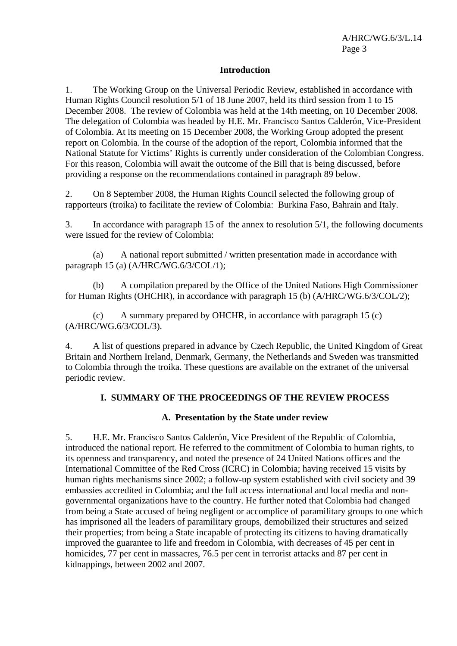## **Introduction**

1. The Working Group on the Universal Periodic Review, established in accordance with Human Rights Council resolution 5/1 of 18 June 2007, held its third session from 1 to 15 December 2008. The review of Colombia was held at the 14th meeting, on 10 December 2008. The delegation of Colombia was headed by H.E. Mr. Francisco Santos Calderón, Vice-President of Colombia. At its meeting on 15 December 2008, the Working Group adopted the present report on Colombia. In the course of the adoption of the report, Colombia informed that the National Statute for Victims' Rights is currently under consideration of the Colombian Congress. For this reason, Colombia will await the outcome of the Bill that is being discussed, before providing a response on the recommendations contained in paragraph 89 below.

2. On 8 September 2008, the Human Rights Council selected the following group of rapporteurs (troika) to facilitate the review of Colombia: Burkina Faso, Bahrain and Italy.

3. In accordance with paragraph 15 of the annex to resolution 5/1, the following documents were issued for the review of Colombia:

 (a) A national report submitted / written presentation made in accordance with paragraph 15 (a) (A/HRC/WG.6/3/COL/1);

 (b) A compilation prepared by the Office of the United Nations High Commissioner for Human Rights (OHCHR), in accordance with paragraph 15 (b) (A/HRC/WG.6/3/COL/2);

 (c) A summary prepared by OHCHR, in accordance with paragraph 15 (c) (A/HRC/WG.6/3/COL/3).

4. A list of questions prepared in advance by Czech Republic, the United Kingdom of Great Britain and Northern Ireland, Denmark, Germany, the Netherlands and Sweden was transmitted to Colombia through the troika. These questions are available on the extranet of the universal periodic review.

# **I. SUMMARY OF THE PROCEEDINGS OF THE REVIEW PROCESS**

### **A. Presentation by the State under review**

5. H.E. Mr. Francisco Santos Calderón, Vice President of the Republic of Colombia, introduced the national report. He referred to the commitment of Colombia to human rights, to its openness and transparency, and noted the presence of 24 United Nations offices and the International Committee of the Red Cross (ICRC) in Colombia; having received 15 visits by human rights mechanisms since 2002; a follow-up system established with civil society and 39 embassies accredited in Colombia; and the full access international and local media and nongovernmental organizations have to the country. He further noted that Colombia had changed from being a State accused of being negligent or accomplice of paramilitary groups to one which has imprisoned all the leaders of paramilitary groups, demobilized their structures and seized their properties; from being a State incapable of protecting its citizens to having dramatically improved the guarantee to life and freedom in Colombia, with decreases of 45 per cent in homicides, 77 per cent in massacres, 76.5 per cent in terrorist attacks and 87 per cent in kidnappings, between 2002 and 2007.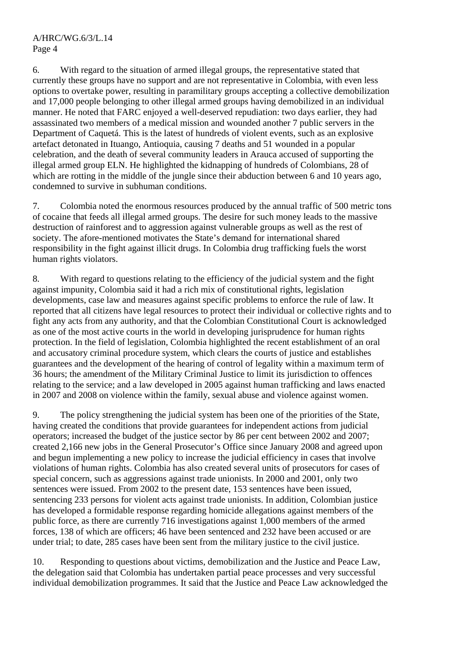6. With regard to the situation of armed illegal groups, the representative stated that currently these groups have no support and are not representative in Colombia, with even less options to overtake power, resulting in paramilitary groups accepting a collective demobilization and 17,000 people belonging to other illegal armed groups having demobilized in an individual manner. He noted that FARC enjoyed a well-deserved repudiation: two days earlier, they had assassinated two members of a medical mission and wounded another 7 public servers in the Department of Caquetá. This is the latest of hundreds of violent events, such as an explosive artefact detonated in Ituango, Antioquia, causing 7 deaths and 51 wounded in a popular celebration, and the death of several community leaders in Arauca accused of supporting the illegal armed group ELN. He highlighted the kidnapping of hundreds of Colombians, 28 of which are rotting in the middle of the jungle since their abduction between 6 and 10 years ago, condemned to survive in subhuman conditions.

7. Colombia noted the enormous resources produced by the annual traffic of 500 metric tons of cocaine that feeds all illegal armed groups. The desire for such money leads to the massive destruction of rainforest and to aggression against vulnerable groups as well as the rest of society. The afore-mentioned motivates the State's demand for international shared responsibility in the fight against illicit drugs. In Colombia drug trafficking fuels the worst human rights violators.

8. With regard to questions relating to the efficiency of the judicial system and the fight against impunity, Colombia said it had a rich mix of constitutional rights, legislation developments, case law and measures against specific problems to enforce the rule of law. It reported that all citizens have legal resources to protect their individual or collective rights and to fight any acts from any authority, and that the Colombian Constitutional Court is acknowledged as one of the most active courts in the world in developing jurisprudence for human rights protection. In the field of legislation, Colombia highlighted the recent establishment of an oral and accusatory criminal procedure system, which clears the courts of justice and establishes guarantees and the development of the hearing of control of legality within a maximum term of 36 hours; the amendment of the Military Criminal Justice to limit its jurisdiction to offences relating to the service; and a law developed in 2005 against human trafficking and laws enacted in 2007 and 2008 on violence within the family, sexual abuse and violence against women.

9. The policy strengthening the judicial system has been one of the priorities of the State, having created the conditions that provide guarantees for independent actions from judicial operators; increased the budget of the justice sector by 86 per cent between 2002 and 2007; created 2,166 new jobs in the General Prosecutor's Office since January 2008 and agreed upon and begun implementing a new policy to increase the judicial efficiency in cases that involve violations of human rights. Colombia has also created several units of prosecutors for cases of special concern, such as aggressions against trade unionists. In 2000 and 2001, only two sentences were issued. From 2002 to the present date, 153 sentences have been issued, sentencing 233 persons for violent acts against trade unionists. In addition, Colombian justice has developed a formidable response regarding homicide allegations against members of the public force, as there are currently 716 investigations against 1,000 members of the armed forces, 138 of which are officers; 46 have been sentenced and 232 have been accused or are under trial; to date, 285 cases have been sent from the military justice to the civil justice.

10. Responding to questions about victims, demobilization and the Justice and Peace Law, the delegation said that Colombia has undertaken partial peace processes and very successful individual demobilization programmes. It said that the Justice and Peace Law acknowledged the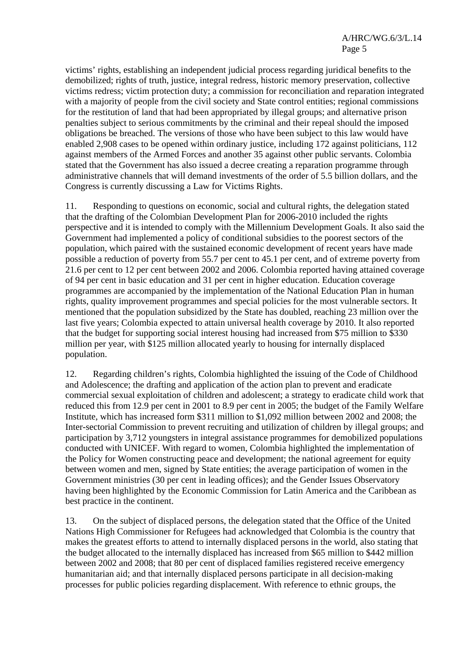victims' rights, establishing an independent judicial process regarding juridical benefits to the demobilized; rights of truth, justice, integral redress, historic memory preservation, collective victims redress; victim protection duty; a commission for reconciliation and reparation integrated with a majority of people from the civil society and State control entities; regional commissions for the restitution of land that had been appropriated by illegal groups; and alternative prison penalties subject to serious commitments by the criminal and their repeal should the imposed obligations be breached. The versions of those who have been subject to this law would have enabled 2,908 cases to be opened within ordinary justice, including 172 against politicians, 112 against members of the Armed Forces and another 35 against other public servants. Colombia stated that the Government has also issued a decree creating a reparation programme through administrative channels that will demand investments of the order of 5.5 billion dollars, and the Congress is currently discussing a Law for Victims Rights.

11. Responding to questions on economic, social and cultural rights, the delegation stated that the drafting of the Colombian Development Plan for 2006-2010 included the rights perspective and it is intended to comply with the Millennium Development Goals. It also said the Government had implemented a policy of conditional subsidies to the poorest sectors of the population, which paired with the sustained economic development of recent years have made possible a reduction of poverty from 55.7 per cent to 45.1 per cent, and of extreme poverty from 21.6 per cent to 12 per cent between 2002 and 2006. Colombia reported having attained coverage of 94 per cent in basic education and 31 per cent in higher education. Education coverage programmes are accompanied by the implementation of the National Education Plan in human rights, quality improvement programmes and special policies for the most vulnerable sectors. It mentioned that the population subsidized by the State has doubled, reaching 23 million over the last five years; Colombia expected to attain universal health coverage by 2010. It also reported that the budget for supporting social interest housing had increased from \$75 million to \$330 million per year, with \$125 million allocated yearly to housing for internally displaced population.

12. Regarding children's rights, Colombia highlighted the issuing of the Code of Childhood and Adolescence; the drafting and application of the action plan to prevent and eradicate commercial sexual exploitation of children and adolescent; a strategy to eradicate child work that reduced this from 12.9 per cent in 2001 to 8.9 per cent in 2005; the budget of the Family Welfare Institute, which has increased form \$311 million to \$1,092 million between 2002 and 2008; the Inter-sectorial Commission to prevent recruiting and utilization of children by illegal groups; and participation by 3,712 youngsters in integral assistance programmes for demobilized populations conducted with UNICEF. With regard to women, Colombia highlighted the implementation of the Policy for Women constructing peace and development; the national agreement for equity between women and men, signed by State entities; the average participation of women in the Government ministries (30 per cent in leading offices); and the Gender Issues Observatory having been highlighted by the Economic Commission for Latin America and the Caribbean as best practice in the continent.

13. On the subject of displaced persons, the delegation stated that the Office of the United Nations High Commissioner for Refugees had acknowledged that Colombia is the country that makes the greatest efforts to attend to internally displaced persons in the world, also stating that the budget allocated to the internally displaced has increased from \$65 million to \$442 million between 2002 and 2008; that 80 per cent of displaced families registered receive emergency humanitarian aid; and that internally displaced persons participate in all decision-making processes for public policies regarding displacement. With reference to ethnic groups, the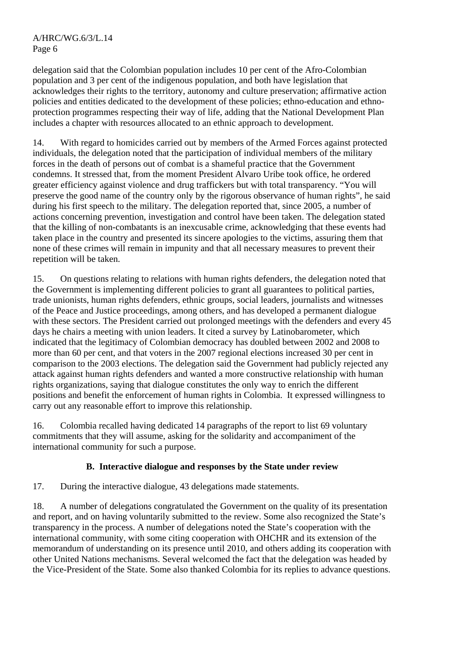delegation said that the Colombian population includes 10 per cent of the Afro-Colombian population and 3 per cent of the indigenous population, and both have legislation that acknowledges their rights to the territory, autonomy and culture preservation; affirmative action policies and entities dedicated to the development of these policies; ethno-education and ethnoprotection programmes respecting their way of life, adding that the National Development Plan includes a chapter with resources allocated to an ethnic approach to development.

14. With regard to homicides carried out by members of the Armed Forces against protected individuals, the delegation noted that the participation of individual members of the military forces in the death of persons out of combat is a shameful practice that the Government condemns. It stressed that, from the moment President Alvaro Uribe took office, he ordered greater efficiency against violence and drug traffickers but with total transparency. "You will preserve the good name of the country only by the rigorous observance of human rights", he said during his first speech to the military. The delegation reported that, since 2005, a number of actions concerning prevention, investigation and control have been taken. The delegation stated that the killing of non-combatants is an inexcusable crime, acknowledging that these events had taken place in the country and presented its sincere apologies to the victims, assuring them that none of these crimes will remain in impunity and that all necessary measures to prevent their repetition will be taken.

15. On questions relating to relations with human rights defenders, the delegation noted that the Government is implementing different policies to grant all guarantees to political parties, trade unionists, human rights defenders, ethnic groups, social leaders, journalists and witnesses of the Peace and Justice proceedings, among others, and has developed a permanent dialogue with these sectors. The President carried out prolonged meetings with the defenders and every 45 days he chairs a meeting with union leaders. It cited a survey by Latinobarometer, which indicated that the legitimacy of Colombian democracy has doubled between 2002 and 2008 to more than 60 per cent, and that voters in the 2007 regional elections increased 30 per cent in comparison to the 2003 elections. The delegation said the Government had publicly rejected any attack against human rights defenders and wanted a more constructive relationship with human rights organizations, saying that dialogue constitutes the only way to enrich the different positions and benefit the enforcement of human rights in Colombia. It expressed willingness to carry out any reasonable effort to improve this relationship.

16. Colombia recalled having dedicated 14 paragraphs of the report to list 69 voluntary commitments that they will assume, asking for the solidarity and accompaniment of the international community for such a purpose.

# **B. Interactive dialogue and responses by the State under review**

17. During the interactive dialogue, 43 delegations made statements.

18. A number of delegations congratulated the Government on the quality of its presentation and report, and on having voluntarily submitted to the review. Some also recognized the State's transparency in the process. A number of delegations noted the State's cooperation with the international community, with some citing cooperation with OHCHR and its extension of the memorandum of understanding on its presence until 2010, and others adding its cooperation with other United Nations mechanisms. Several welcomed the fact that the delegation was headed by the Vice-President of the State. Some also thanked Colombia for its replies to advance questions.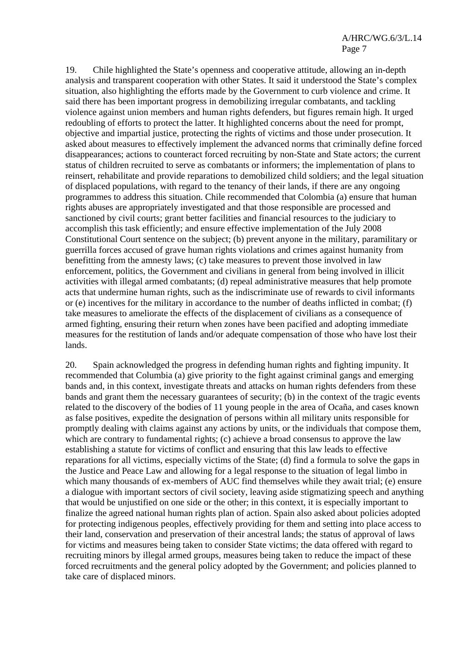19. Chile highlighted the State's openness and cooperative attitude, allowing an in-depth analysis and transparent cooperation with other States. It said it understood the State's complex situation, also highlighting the efforts made by the Government to curb violence and crime. It said there has been important progress in demobilizing irregular combatants, and tackling violence against union members and human rights defenders, but figures remain high. It urged redoubling of efforts to protect the latter. It highlighted concerns about the need for prompt, objective and impartial justice, protecting the rights of victims and those under prosecution. It asked about measures to effectively implement the advanced norms that criminally define forced disappearances; actions to counteract forced recruiting by non-State and State actors; the current status of children recruited to serve as combatants or informers; the implementation of plans to reinsert, rehabilitate and provide reparations to demobilized child soldiers; and the legal situation of displaced populations, with regard to the tenancy of their lands, if there are any ongoing programmes to address this situation. Chile recommended that Colombia (a) ensure that human rights abuses are appropriately investigated and that those responsible are processed and sanctioned by civil courts; grant better facilities and financial resources to the judiciary to accomplish this task efficiently; and ensure effective implementation of the July 2008 Constitutional Court sentence on the subject; (b) prevent anyone in the military, paramilitary or guerrilla forces accused of grave human rights violations and crimes against humanity from benefitting from the amnesty laws; (c) take measures to prevent those involved in law enforcement, politics, the Government and civilians in general from being involved in illicit activities with illegal armed combatants; (d) repeal administrative measures that help promote acts that undermine human rights, such as the indiscriminate use of rewards to civil informants or (e) incentives for the military in accordance to the number of deaths inflicted in combat; (f) take measures to ameliorate the effects of the displacement of civilians as a consequence of armed fighting, ensuring their return when zones have been pacified and adopting immediate measures for the restitution of lands and/or adequate compensation of those who have lost their lands.

20. Spain acknowledged the progress in defending human rights and fighting impunity. It recommended that Columbia (a) give priority to the fight against criminal gangs and emerging bands and, in this context, investigate threats and attacks on human rights defenders from these bands and grant them the necessary guarantees of security; (b) in the context of the tragic events related to the discovery of the bodies of 11 young people in the area of Ocaña, and cases known as false positives, expedite the designation of persons within all military units responsible for promptly dealing with claims against any actions by units, or the individuals that compose them, which are contrary to fundamental rights; (c) achieve a broad consensus to approve the law establishing a statute for victims of conflict and ensuring that this law leads to effective reparations for all victims, especially victims of the State; (d) find a formula to solve the gaps in the Justice and Peace Law and allowing for a legal response to the situation of legal limbo in which many thousands of ex-members of AUC find themselves while they await trial; (e) ensure a dialogue with important sectors of civil society, leaving aside stigmatizing speech and anything that would be unjustified on one side or the other; in this context, it is especially important to finalize the agreed national human rights plan of action. Spain also asked about policies adopted for protecting indigenous peoples, effectively providing for them and setting into place access to their land, conservation and preservation of their ancestral lands; the status of approval of laws for victims and measures being taken to consider State victims; the data offered with regard to recruiting minors by illegal armed groups, measures being taken to reduce the impact of these forced recruitments and the general policy adopted by the Government; and policies planned to take care of displaced minors.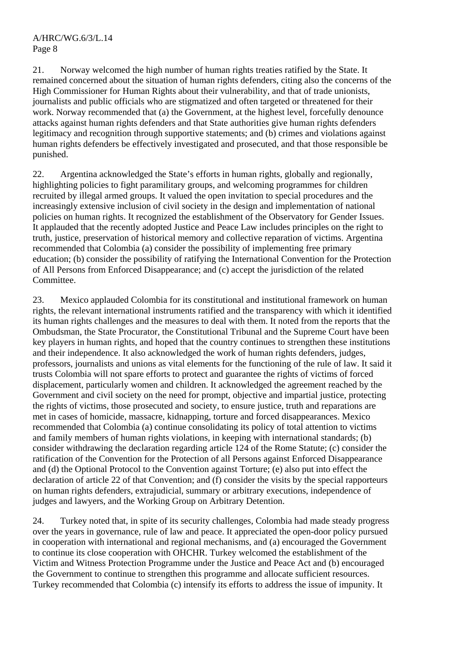21. Norway welcomed the high number of human rights treaties ratified by the State. It remained concerned about the situation of human rights defenders, citing also the concerns of the High Commissioner for Human Rights about their vulnerability, and that of trade unionists, journalists and public officials who are stigmatized and often targeted or threatened for their work. Norway recommended that (a) the Government, at the highest level, forcefully denounce attacks against human rights defenders and that State authorities give human rights defenders legitimacy and recognition through supportive statements; and (b) crimes and violations against human rights defenders be effectively investigated and prosecuted, and that those responsible be punished.

22. Argentina acknowledged the State's efforts in human rights, globally and regionally, highlighting policies to fight paramilitary groups, and welcoming programmes for children recruited by illegal armed groups. It valued the open invitation to special procedures and the increasingly extensive inclusion of civil society in the design and implementation of national policies on human rights. It recognized the establishment of the Observatory for Gender Issues. It applauded that the recently adopted Justice and Peace Law includes principles on the right to truth, justice, preservation of historical memory and collective reparation of victims. Argentina recommended that Colombia (a) consider the possibility of implementing free primary education; (b) consider the possibility of ratifying the International Convention for the Protection of All Persons from Enforced Disappearance; and (c) accept the jurisdiction of the related Committee.

23. Mexico applauded Colombia for its constitutional and institutional framework on human rights, the relevant international instruments ratified and the transparency with which it identified its human rights challenges and the measures to deal with them. It noted from the reports that the Ombudsman, the State Procurator, the Constitutional Tribunal and the Supreme Court have been key players in human rights, and hoped that the country continues to strengthen these institutions and their independence. It also acknowledged the work of human rights defenders, judges, professors, journalists and unions as vital elements for the functioning of the rule of law. It said it trusts Colombia will not spare efforts to protect and guarantee the rights of victims of forced displacement, particularly women and children. It acknowledged the agreement reached by the Government and civil society on the need for prompt, objective and impartial justice, protecting the rights of victims, those prosecuted and society, to ensure justice, truth and reparations are met in cases of homicide, massacre, kidnapping, torture and forced disappearances. Mexico recommended that Colombia (a) continue consolidating its policy of total attention to victims and family members of human rights violations, in keeping with international standards; (b) consider withdrawing the declaration regarding article 124 of the Rome Statute; (c) consider the ratification of the Convention for the Protection of all Persons against Enforced Disappearance and (d) the Optional Protocol to the Convention against Torture; (e) also put into effect the declaration of article 22 of that Convention; and (f) consider the visits by the special rapporteurs on human rights defenders, extrajudicial, summary or arbitrary executions, independence of judges and lawyers, and the Working Group on Arbitrary Detention.

24. Turkey noted that, in spite of its security challenges, Colombia had made steady progress over the years in governance, rule of law and peace. It appreciated the open-door policy pursued in cooperation with international and regional mechanisms, and (a) encouraged the Government to continue its close cooperation with OHCHR. Turkey welcomed the establishment of the Victim and Witness Protection Programme under the Justice and Peace Act and (b) encouraged the Government to continue to strengthen this programme and allocate sufficient resources. Turkey recommended that Colombia (c) intensify its efforts to address the issue of impunity. It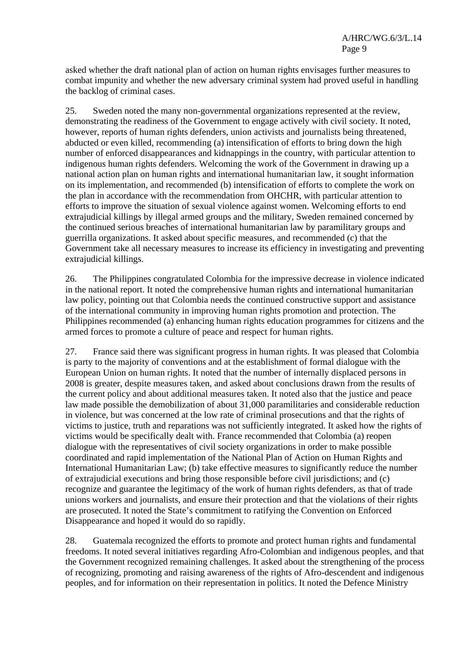asked whether the draft national plan of action on human rights envisages further measures to combat impunity and whether the new adversary criminal system had proved useful in handling the backlog of criminal cases.

25. Sweden noted the many non-governmental organizations represented at the review, demonstrating the readiness of the Government to engage actively with civil society. It noted, however, reports of human rights defenders, union activists and journalists being threatened, abducted or even killed, recommending (a) intensification of efforts to bring down the high number of enforced disappearances and kidnappings in the country, with particular attention to indigenous human rights defenders. Welcoming the work of the Government in drawing up a national action plan on human rights and international humanitarian law, it sought information on its implementation, and recommended (b) intensification of efforts to complete the work on the plan in accordance with the recommendation from OHCHR, with particular attention to efforts to improve the situation of sexual violence against women. Welcoming efforts to end extrajudicial killings by illegal armed groups and the military, Sweden remained concerned by the continued serious breaches of international humanitarian law by paramilitary groups and guerrilla organizations. It asked about specific measures, and recommended (c) that the Government take all necessary measures to increase its efficiency in investigating and preventing extrajudicial killings.

26. The Philippines congratulated Colombia for the impressive decrease in violence indicated in the national report. It noted the comprehensive human rights and international humanitarian law policy, pointing out that Colombia needs the continued constructive support and assistance of the international community in improving human rights promotion and protection. The Philippines recommended (a) enhancing human rights education programmes for citizens and the armed forces to promote a culture of peace and respect for human rights.

27. France said there was significant progress in human rights. It was pleased that Colombia is party to the majority of conventions and at the establishment of formal dialogue with the European Union on human rights. It noted that the number of internally displaced persons in 2008 is greater, despite measures taken, and asked about conclusions drawn from the results of the current policy and about additional measures taken. It noted also that the justice and peace law made possible the demobilization of about 31,000 paramilitaries and considerable reduction in violence, but was concerned at the low rate of criminal prosecutions and that the rights of victims to justice, truth and reparations was not sufficiently integrated. It asked how the rights of victims would be specifically dealt with. France recommended that Colombia (a) reopen dialogue with the representatives of civil society organizations in order to make possible coordinated and rapid implementation of the National Plan of Action on Human Rights and International Humanitarian Law; (b) take effective measures to significantly reduce the number of extrajudicial executions and bring those responsible before civil jurisdictions; and (c) recognize and guarantee the legitimacy of the work of human rights defenders, as that of trade unions workers and journalists, and ensure their protection and that the violations of their rights are prosecuted. It noted the State's commitment to ratifying the Convention on Enforced Disappearance and hoped it would do so rapidly.

28. Guatemala recognized the efforts to promote and protect human rights and fundamental freedoms. It noted several initiatives regarding Afro-Colombian and indigenous peoples, and that the Government recognized remaining challenges. It asked about the strengthening of the process of recognizing, promoting and raising awareness of the rights of Afro-descendent and indigenous peoples, and for information on their representation in politics. It noted the Defence Ministry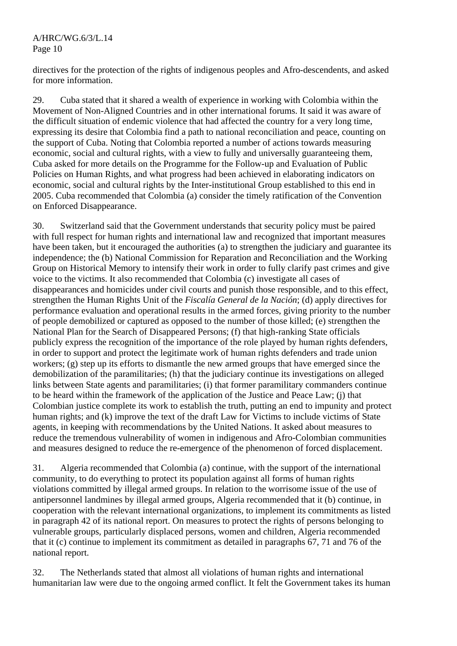# A/HRC/WG.6/3/L.14 Page 10

directives for the protection of the rights of indigenous peoples and Afro-descendents, and asked for more information.

29. Cuba stated that it shared a wealth of experience in working with Colombia within the Movement of Non-Aligned Countries and in other international forums. It said it was aware of the difficult situation of endemic violence that had affected the country for a very long time, expressing its desire that Colombia find a path to national reconciliation and peace, counting on the support of Cuba. Noting that Colombia reported a number of actions towards measuring economic, social and cultural rights, with a view to fully and universally guaranteeing them, Cuba asked for more details on the Programme for the Follow-up and Evaluation of Public Policies on Human Rights, and what progress had been achieved in elaborating indicators on economic, social and cultural rights by the Inter-institutional Group established to this end in 2005. Cuba recommended that Colombia (a) consider the timely ratification of the Convention on Enforced Disappearance.

30. Switzerland said that the Government understands that security policy must be paired with full respect for human rights and international law and recognized that important measures have been taken, but it encouraged the authorities (a) to strengthen the judiciary and guarantee its independence; the (b) National Commission for Reparation and Reconciliation and the Working Group on Historical Memory to intensify their work in order to fully clarify past crimes and give voice to the victims. It also recommended that Colombia (c) investigate all cases of disappearances and homicides under civil courts and punish those responsible, and to this effect, strengthen the Human Rights Unit of the *Fiscalía General de la Nación*; (d) apply directives for performance evaluation and operational results in the armed forces, giving priority to the number of people demobilized or captured as opposed to the number of those killed; (e) strengthen the National Plan for the Search of Disappeared Persons; (f) that high-ranking State officials publicly express the recognition of the importance of the role played by human rights defenders, in order to support and protect the legitimate work of human rights defenders and trade union workers; (g) step up its efforts to dismantle the new armed groups that have emerged since the demobilization of the paramilitaries; (h) that the judiciary continue its investigations on alleged links between State agents and paramilitaries; (i) that former paramilitary commanders continue to be heard within the framework of the application of the Justice and Peace Law; (j) that Colombian justice complete its work to establish the truth, putting an end to impunity and protect human rights; and (k) improve the text of the draft Law for Victims to include victims of State agents, in keeping with recommendations by the United Nations. It asked about measures to reduce the tremendous vulnerability of women in indigenous and Afro-Colombian communities and measures designed to reduce the re-emergence of the phenomenon of forced displacement.

31. Algeria recommended that Colombia (a) continue, with the support of the international community, to do everything to protect its population against all forms of human rights violations committed by illegal armed groups. In relation to the worrisome issue of the use of antipersonnel landmines by illegal armed groups, Algeria recommended that it (b) continue, in cooperation with the relevant international organizations, to implement its commitments as listed in paragraph 42 of its national report. On measures to protect the rights of persons belonging to vulnerable groups, particularly displaced persons, women and children, Algeria recommended that it (c) continue to implement its commitment as detailed in paragraphs 67, 71 and 76 of the national report.

32. The Netherlands stated that almost all violations of human rights and international humanitarian law were due to the ongoing armed conflict. It felt the Government takes its human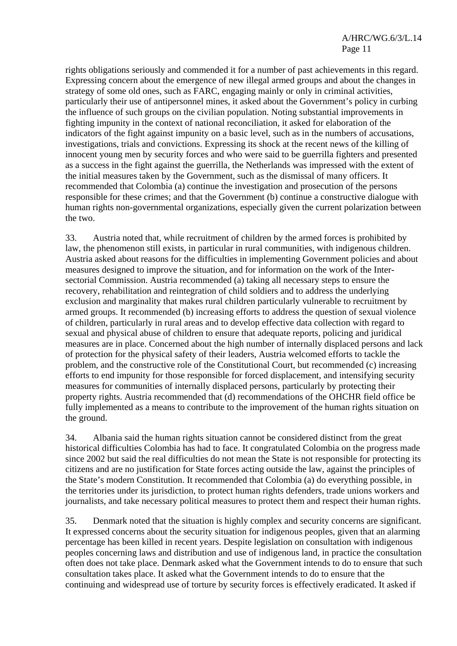rights obligations seriously and commended it for a number of past achievements in this regard. Expressing concern about the emergence of new illegal armed groups and about the changes in strategy of some old ones, such as FARC, engaging mainly or only in criminal activities, particularly their use of antipersonnel mines, it asked about the Government's policy in curbing the influence of such groups on the civilian population. Noting substantial improvements in fighting impunity in the context of national reconciliation, it asked for elaboration of the indicators of the fight against impunity on a basic level, such as in the numbers of accusations, investigations, trials and convictions. Expressing its shock at the recent news of the killing of innocent young men by security forces and who were said to be guerrilla fighters and presented as a success in the fight against the guerrilla, the Netherlands was impressed with the extent of the initial measures taken by the Government, such as the dismissal of many officers. It recommended that Colombia (a) continue the investigation and prosecution of the persons responsible for these crimes; and that the Government (b) continue a constructive dialogue with human rights non-governmental organizations, especially given the current polarization between the two.

33. Austria noted that, while recruitment of children by the armed forces is prohibited by law, the phenomenon still exists, in particular in rural communities, with indigenous children. Austria asked about reasons for the difficulties in implementing Government policies and about measures designed to improve the situation, and for information on the work of the Intersectorial Commission. Austria recommended (a) taking all necessary steps to ensure the recovery, rehabilitation and reintegration of child soldiers and to address the underlying exclusion and marginality that makes rural children particularly vulnerable to recruitment by armed groups. It recommended (b) increasing efforts to address the question of sexual violence of children, particularly in rural areas and to develop effective data collection with regard to sexual and physical abuse of children to ensure that adequate reports, policing and juridical measures are in place. Concerned about the high number of internally displaced persons and lack of protection for the physical safety of their leaders, Austria welcomed efforts to tackle the problem, and the constructive role of the Constitutional Court, but recommended (c) increasing efforts to end impunity for those responsible for forced displacement, and intensifying security measures for communities of internally displaced persons, particularly by protecting their property rights. Austria recommended that (d) recommendations of the OHCHR field office be fully implemented as a means to contribute to the improvement of the human rights situation on the ground.

34. Albania said the human rights situation cannot be considered distinct from the great historical difficulties Colombia has had to face. It congratulated Colombia on the progress made since 2002 but said the real difficulties do not mean the State is not responsible for protecting its citizens and are no justification for State forces acting outside the law, against the principles of the State's modern Constitution. It recommended that Colombia (a) do everything possible, in the territories under its jurisdiction, to protect human rights defenders, trade unions workers and journalists, and take necessary political measures to protect them and respect their human rights.

35. Denmark noted that the situation is highly complex and security concerns are significant. It expressed concerns about the security situation for indigenous peoples, given that an alarming percentage has been killed in recent years. Despite legislation on consultation with indigenous peoples concerning laws and distribution and use of indigenous land, in practice the consultation often does not take place. Denmark asked what the Government intends to do to ensure that such consultation takes place. It asked what the Government intends to do to ensure that the continuing and widespread use of torture by security forces is effectively eradicated. It asked if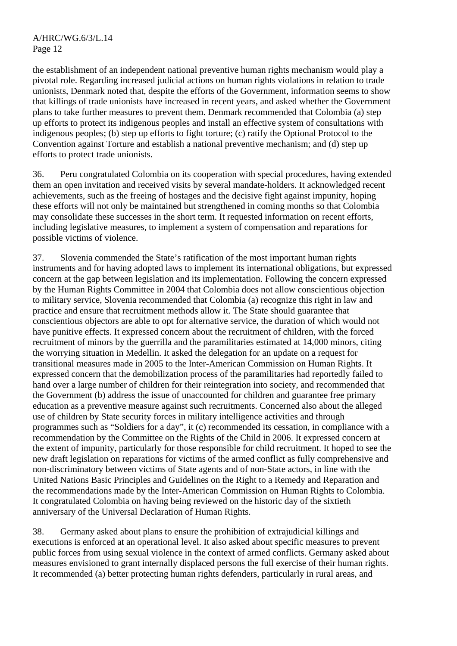the establishment of an independent national preventive human rights mechanism would play a pivotal role. Regarding increased judicial actions on human rights violations in relation to trade unionists, Denmark noted that, despite the efforts of the Government, information seems to show that killings of trade unionists have increased in recent years, and asked whether the Government plans to take further measures to prevent them. Denmark recommended that Colombia (a) step up efforts to protect its indigenous peoples and install an effective system of consultations with indigenous peoples; (b) step up efforts to fight torture; (c) ratify the Optional Protocol to the Convention against Torture and establish a national preventive mechanism; and (d) step up efforts to protect trade unionists.

36. Peru congratulated Colombia on its cooperation with special procedures, having extended them an open invitation and received visits by several mandate-holders. It acknowledged recent achievements, such as the freeing of hostages and the decisive fight against impunity, hoping these efforts will not only be maintained but strengthened in coming months so that Colombia may consolidate these successes in the short term. It requested information on recent efforts, including legislative measures, to implement a system of compensation and reparations for possible victims of violence.

37. Slovenia commended the State's ratification of the most important human rights instruments and for having adopted laws to implement its international obligations, but expressed concern at the gap between legislation and its implementation. Following the concern expressed by the Human Rights Committee in 2004 that Colombia does not allow conscientious objection to military service, Slovenia recommended that Colombia (a) recognize this right in law and practice and ensure that recruitment methods allow it. The State should guarantee that conscientious objectors are able to opt for alternative service, the duration of which would not have punitive effects. It expressed concern about the recruitment of children, with the forced recruitment of minors by the guerrilla and the paramilitaries estimated at 14,000 minors, citing the worrying situation in Medellin. It asked the delegation for an update on a request for transitional measures made in 2005 to the Inter-American Commission on Human Rights. It expressed concern that the demobilization process of the paramilitaries had reportedly failed to hand over a large number of children for their reintegration into society, and recommended that the Government (b) address the issue of unaccounted for children and guarantee free primary education as a preventive measure against such recruitments. Concerned also about the alleged use of children by State security forces in military intelligence activities and through programmes such as "Soldiers for a day", it (c) recommended its cessation, in compliance with a recommendation by the Committee on the Rights of the Child in 2006. It expressed concern at the extent of impunity, particularly for those responsible for child recruitment. It hoped to see the new draft legislation on reparations for victims of the armed conflict as fully comprehensive and non-discriminatory between victims of State agents and of non-State actors, in line with the United Nations Basic Principles and Guidelines on the Right to a Remedy and Reparation and the recommendations made by the Inter-American Commission on Human Rights to Colombia. It congratulated Colombia on having being reviewed on the historic day of the sixtieth anniversary of the Universal Declaration of Human Rights.

38. Germany asked about plans to ensure the prohibition of extrajudicial killings and executions is enforced at an operational level. It also asked about specific measures to prevent public forces from using sexual violence in the context of armed conflicts. Germany asked about measures envisioned to grant internally displaced persons the full exercise of their human rights. It recommended (a) better protecting human rights defenders, particularly in rural areas, and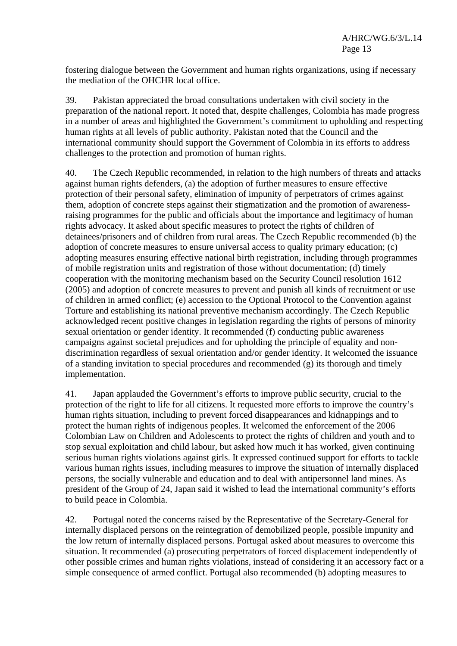fostering dialogue between the Government and human rights organizations, using if necessary the mediation of the OHCHR local office.

39. Pakistan appreciated the broad consultations undertaken with civil society in the preparation of the national report. It noted that, despite challenges, Colombia has made progress in a number of areas and highlighted the Government's commitment to upholding and respecting human rights at all levels of public authority. Pakistan noted that the Council and the international community should support the Government of Colombia in its efforts to address challenges to the protection and promotion of human rights.

40. The Czech Republic recommended, in relation to the high numbers of threats and attacks against human rights defenders, (a) the adoption of further measures to ensure effective protection of their personal safety, elimination of impunity of perpetrators of crimes against them, adoption of concrete steps against their stigmatization and the promotion of awarenessraising programmes for the public and officials about the importance and legitimacy of human rights advocacy. It asked about specific measures to protect the rights of children of detainees/prisoners and of children from rural areas. The Czech Republic recommended (b) the adoption of concrete measures to ensure universal access to quality primary education; (c) adopting measures ensuring effective national birth registration, including through programmes of mobile registration units and registration of those without documentation; (d) timely cooperation with the monitoring mechanism based on the Security Council resolution 1612 (2005) and adoption of concrete measures to prevent and punish all kinds of recruitment or use of children in armed conflict; (e) accession to the Optional Protocol to the Convention against Torture and establishing its national preventive mechanism accordingly. The Czech Republic acknowledged recent positive changes in legislation regarding the rights of persons of minority sexual orientation or gender identity. It recommended (f) conducting public awareness campaigns against societal prejudices and for upholding the principle of equality and nondiscrimination regardless of sexual orientation and/or gender identity. It welcomed the issuance of a standing invitation to special procedures and recommended (g) its thorough and timely implementation.

41. Japan applauded the Government's efforts to improve public security, crucial to the protection of the right to life for all citizens. It requested more efforts to improve the country's human rights situation, including to prevent forced disappearances and kidnappings and to protect the human rights of indigenous peoples. It welcomed the enforcement of the 2006 Colombian Law on Children and Adolescents to protect the rights of children and youth and to stop sexual exploitation and child labour, but asked how much it has worked, given continuing serious human rights violations against girls. It expressed continued support for efforts to tackle various human rights issues, including measures to improve the situation of internally displaced persons, the socially vulnerable and education and to deal with antipersonnel land mines. As president of the Group of 24, Japan said it wished to lead the international community's efforts to build peace in Colombia.

42. Portugal noted the concerns raised by the Representative of the Secretary-General for internally displaced persons on the reintegration of demobilized people, possible impunity and the low return of internally displaced persons. Portugal asked about measures to overcome this situation. It recommended (a) prosecuting perpetrators of forced displacement independently of other possible crimes and human rights violations, instead of considering it an accessory fact or a simple consequence of armed conflict. Portugal also recommended (b) adopting measures to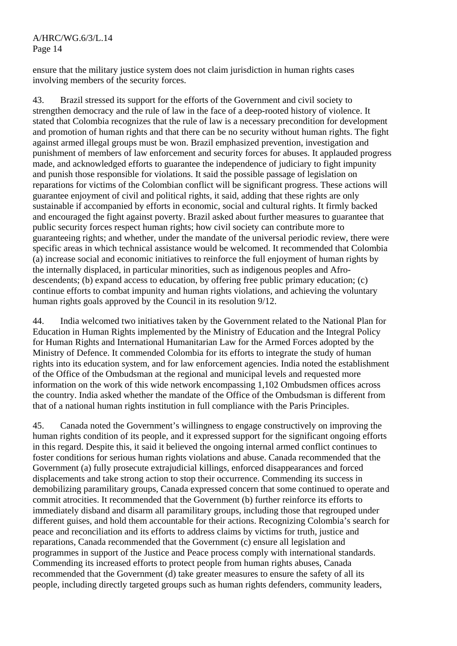ensure that the military justice system does not claim jurisdiction in human rights cases involving members of the security forces.

43. Brazil stressed its support for the efforts of the Government and civil society to strengthen democracy and the rule of law in the face of a deep-rooted history of violence. It stated that Colombia recognizes that the rule of law is a necessary precondition for development and promotion of human rights and that there can be no security without human rights. The fight against armed illegal groups must be won. Brazil emphasized prevention, investigation and punishment of members of law enforcement and security forces for abuses. It applauded progress made, and acknowledged efforts to guarantee the independence of judiciary to fight impunity and punish those responsible for violations. It said the possible passage of legislation on reparations for victims of the Colombian conflict will be significant progress. These actions will guarantee enjoyment of civil and political rights, it said, adding that these rights are only sustainable if accompanied by efforts in economic, social and cultural rights. It firmly backed and encouraged the fight against poverty. Brazil asked about further measures to guarantee that public security forces respect human rights; how civil society can contribute more to guaranteeing rights; and whether, under the mandate of the universal periodic review, there were specific areas in which technical assistance would be welcomed. It recommended that Colombia (a) increase social and economic initiatives to reinforce the full enjoyment of human rights by the internally displaced, in particular minorities, such as indigenous peoples and Afrodescendents; (b) expand access to education, by offering free public primary education; (c) continue efforts to combat impunity and human rights violations, and achieving the voluntary human rights goals approved by the Council in its resolution 9/12.

44. India welcomed two initiatives taken by the Government related to the National Plan for Education in Human Rights implemented by the Ministry of Education and the Integral Policy for Human Rights and International Humanitarian Law for the Armed Forces adopted by the Ministry of Defence. It commended Colombia for its efforts to integrate the study of human rights into its education system, and for law enforcement agencies. India noted the establishment of the Office of the Ombudsman at the regional and municipal levels and requested more information on the work of this wide network encompassing 1,102 Ombudsmen offices across the country. India asked whether the mandate of the Office of the Ombudsman is different from that of a national human rights institution in full compliance with the Paris Principles.

45. Canada noted the Government's willingness to engage constructively on improving the human rights condition of its people, and it expressed support for the significant ongoing efforts in this regard. Despite this, it said it believed the ongoing internal armed conflict continues to foster conditions for serious human rights violations and abuse. Canada recommended that the Government (a) fully prosecute extrajudicial killings, enforced disappearances and forced displacements and take strong action to stop their occurrence. Commending its success in demobilizing paramilitary groups, Canada expressed concern that some continued to operate and commit atrocities. It recommended that the Government (b) further reinforce its efforts to immediately disband and disarm all paramilitary groups, including those that regrouped under different guises, and hold them accountable for their actions. Recognizing Colombia's search for peace and reconciliation and its efforts to address claims by victims for truth, justice and reparations, Canada recommended that the Government (c) ensure all legislation and programmes in support of the Justice and Peace process comply with international standards. Commending its increased efforts to protect people from human rights abuses, Canada recommended that the Government (d) take greater measures to ensure the safety of all its people, including directly targeted groups such as human rights defenders, community leaders,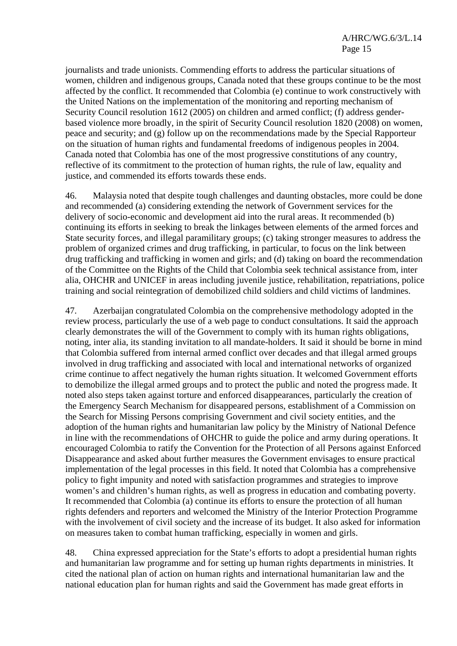journalists and trade unionists. Commending efforts to address the particular situations of women, children and indigenous groups, Canada noted that these groups continue to be the most affected by the conflict. It recommended that Colombia (e) continue to work constructively with the United Nations on the implementation of the monitoring and reporting mechanism of Security Council resolution 1612 (2005) on children and armed conflict; (f) address genderbased violence more broadly, in the spirit of Security Council resolution 1820 (2008) on women, peace and security; and (g) follow up on the recommendations made by the Special Rapporteur on the situation of human rights and fundamental freedoms of indigenous peoples in 2004. Canada noted that Colombia has one of the most progressive constitutions of any country, reflective of its commitment to the protection of human rights, the rule of law, equality and justice, and commended its efforts towards these ends.

46. Malaysia noted that despite tough challenges and daunting obstacles, more could be done and recommended (a) considering extending the network of Government services for the delivery of socio-economic and development aid into the rural areas. It recommended (b) continuing its efforts in seeking to break the linkages between elements of the armed forces and State security forces, and illegal paramilitary groups; (c) taking stronger measures to address the problem of organized crimes and drug trafficking, in particular, to focus on the link between drug trafficking and trafficking in women and girls; and (d) taking on board the recommendation of the Committee on the Rights of the Child that Colombia seek technical assistance from, inter alia, OHCHR and UNICEF in areas including juvenile justice, rehabilitation, repatriations, police training and social reintegration of demobilized child soldiers and child victims of landmines.

47. Azerbaijan congratulated Colombia on the comprehensive methodology adopted in the review process, particularly the use of a web page to conduct consultations. It said the approach clearly demonstrates the will of the Government to comply with its human rights obligations, noting, inter alia, its standing invitation to all mandate-holders. It said it should be borne in mind that Colombia suffered from internal armed conflict over decades and that illegal armed groups involved in drug trafficking and associated with local and international networks of organized crime continue to affect negatively the human rights situation. It welcomed Government efforts to demobilize the illegal armed groups and to protect the public and noted the progress made. It noted also steps taken against torture and enforced disappearances, particularly the creation of the Emergency Search Mechanism for disappeared persons, establishment of a Commission on the Search for Missing Persons comprising Government and civil society entities, and the adoption of the human rights and humanitarian law policy by the Ministry of National Defence in line with the recommendations of OHCHR to guide the police and army during operations. It encouraged Colombia to ratify the Convention for the Protection of all Persons against Enforced Disappearance and asked about further measures the Government envisages to ensure practical implementation of the legal processes in this field. It noted that Colombia has a comprehensive policy to fight impunity and noted with satisfaction programmes and strategies to improve women's and children's human rights, as well as progress in education and combating poverty. It recommended that Colombia (a) continue its efforts to ensure the protection of all human rights defenders and reporters and welcomed the Ministry of the Interior Protection Programme with the involvement of civil society and the increase of its budget. It also asked for information on measures taken to combat human trafficking, especially in women and girls.

48. China expressed appreciation for the State's efforts to adopt a presidential human rights and humanitarian law programme and for setting up human rights departments in ministries. It cited the national plan of action on human rights and international humanitarian law and the national education plan for human rights and said the Government has made great efforts in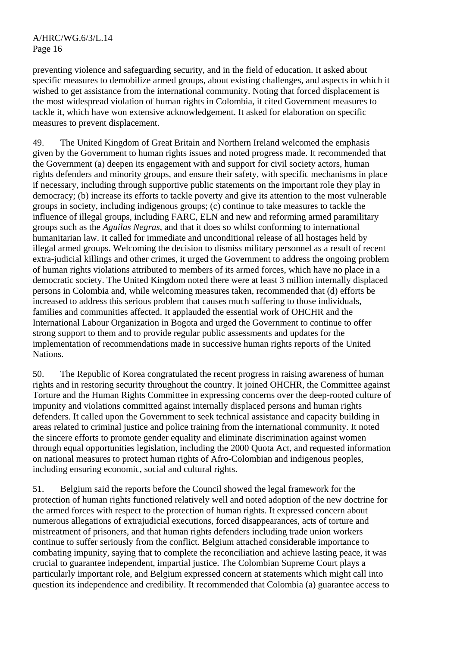preventing violence and safeguarding security, and in the field of education. It asked about specific measures to demobilize armed groups, about existing challenges, and aspects in which it wished to get assistance from the international community. Noting that forced displacement is the most widespread violation of human rights in Colombia, it cited Government measures to tackle it, which have won extensive acknowledgement. It asked for elaboration on specific measures to prevent displacement.

49. The United Kingdom of Great Britain and Northern Ireland welcomed the emphasis given by the Government to human rights issues and noted progress made. It recommended that the Government (a) deepen its engagement with and support for civil society actors, human rights defenders and minority groups, and ensure their safety, with specific mechanisms in place if necessary, including through supportive public statements on the important role they play in democracy; (b) increase its efforts to tackle poverty and give its attention to the most vulnerable groups in society, including indigenous groups; (c) continue to take measures to tackle the influence of illegal groups, including FARC, ELN and new and reforming armed paramilitary groups such as the *Aguilas Negras*, and that it does so whilst conforming to international humanitarian law. It called for immediate and unconditional release of all hostages held by illegal armed groups. Welcoming the decision to dismiss military personnel as a result of recent extra-judicial killings and other crimes, it urged the Government to address the ongoing problem of human rights violations attributed to members of its armed forces, which have no place in a democratic society. The United Kingdom noted there were at least 3 million internally displaced persons in Colombia and, while welcoming measures taken, recommended that (d) efforts be increased to address this serious problem that causes much suffering to those individuals, families and communities affected. It applauded the essential work of OHCHR and the International Labour Organization in Bogota and urged the Government to continue to offer strong support to them and to provide regular public assessments and updates for the implementation of recommendations made in successive human rights reports of the United Nations.

50. The Republic of Korea congratulated the recent progress in raising awareness of human rights and in restoring security throughout the country. It joined OHCHR, the Committee against Torture and the Human Rights Committee in expressing concerns over the deep-rooted culture of impunity and violations committed against internally displaced persons and human rights defenders. It called upon the Government to seek technical assistance and capacity building in areas related to criminal justice and police training from the international community. It noted the sincere efforts to promote gender equality and eliminate discrimination against women through equal opportunities legislation, including the 2000 Quota Act, and requested information on national measures to protect human rights of Afro-Colombian and indigenous peoples, including ensuring economic, social and cultural rights.

51. Belgium said the reports before the Council showed the legal framework for the protection of human rights functioned relatively well and noted adoption of the new doctrine for the armed forces with respect to the protection of human rights. It expressed concern about numerous allegations of extrajudicial executions, forced disappearances, acts of torture and mistreatment of prisoners, and that human rights defenders including trade union workers continue to suffer seriously from the conflict. Belgium attached considerable importance to combating impunity, saying that to complete the reconciliation and achieve lasting peace, it was crucial to guarantee independent, impartial justice. The Colombian Supreme Court plays a particularly important role, and Belgium expressed concern at statements which might call into question its independence and credibility. It recommended that Colombia (a) guarantee access to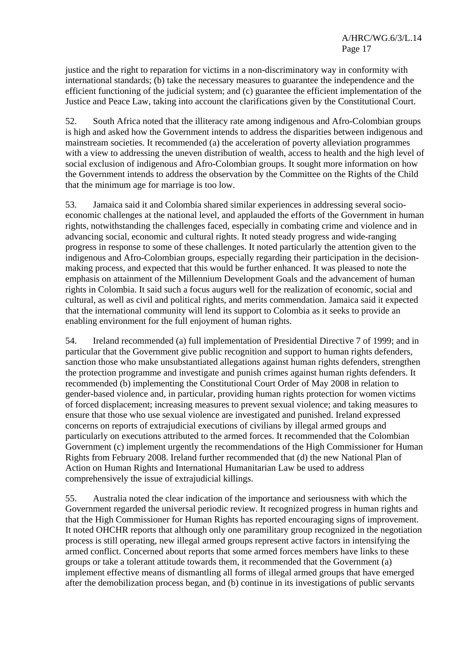justice and the right to reparation for victims in a non-discriminatory way in conformity with international standards; (b) take the necessary measures to guarantee the independence and the efficient functioning of the judicial system; and (c) guarantee the efficient implementation of the Justice and Peace Law, taking into account the clarifications given by the Constitutional Court.

52. South Africa noted that the illiteracy rate among indigenous and Afro-Colombian groups is high and asked how the Government intends to address the disparities between indigenous and mainstream societies. It recommended (a) the acceleration of poverty alleviation programmes with a view to addressing the uneven distribution of wealth, access to health and the high level of social exclusion of indigenous and Afro-Colombian groups. It sought more information on how the Government intends to address the observation by the Committee on the Rights of the Child that the minimum age for marriage is too low.

53. Jamaica said it and Colombia shared similar experiences in addressing several socioeconomic challenges at the national level, and applauded the efforts of the Government in human rights, notwithstanding the challenges faced, especially in combating crime and violence and in advancing social, economic and cultural rights. It noted steady progress and wide-ranging progress in response to some of these challenges. It noted particularly the attention given to the indigenous and Afro-Colombian groups, especially regarding their participation in the decisionmaking process, and expected that this would be further enhanced. It was pleased to note the emphasis on attainment of the Millennium Development Goals and the advancement of human rights in Colombia. It said such a focus augurs well for the realization of economic, social and cultural, as well as civil and political rights, and merits commendation. Jamaica said it expected that the international community will lend its support to Colombia as it seeks to provide an enabling environment for the full enjoyment of human rights.

54. Ireland recommended (a) full implementation of Presidential Directive 7 of 1999; and in particular that the Government give public recognition and support to human rights defenders, sanction those who make unsubstantiated allegations against human rights defenders, strengthen the protection programme and investigate and punish crimes against human rights defenders. It recommended (b) implementing the Constitutional Court Order of May 2008 in relation to gender-based violence and, in particular, providing human rights protection for women victims of forced displacement; increasing measures to prevent sexual violence; and taking measures to ensure that those who use sexual violence are investigated and punished. Ireland expressed concerns on reports of extrajudicial executions of civilians by illegal armed groups and particularly on executions attributed to the armed forces. It recommended that the Colombian Government (c) implement urgently the recommendations of the High Commissioner for Human Rights from February 2008. Ireland further recommended that (d) the new National Plan of Action on Human Rights and International Humanitarian Law be used to address comprehensively the issue of extrajudicial killings.

55. Australia noted the clear indication of the importance and seriousness with which the Government regarded the universal periodic review. It recognized progress in human rights and that the High Commissioner for Human Rights has reported encouraging signs of improvement. It noted OHCHR reports that although only one paramilitary group recognized in the negotiation process is still operating, new illegal armed groups represent active factors in intensifying the armed conflict. Concerned about reports that some armed forces members have links to these groups or take a tolerant attitude towards them, it recommended that the Government (a) implement effective means of dismantling all forms of illegal armed groups that have emerged after the demobilization process began, and (b) continue in its investigations of public servants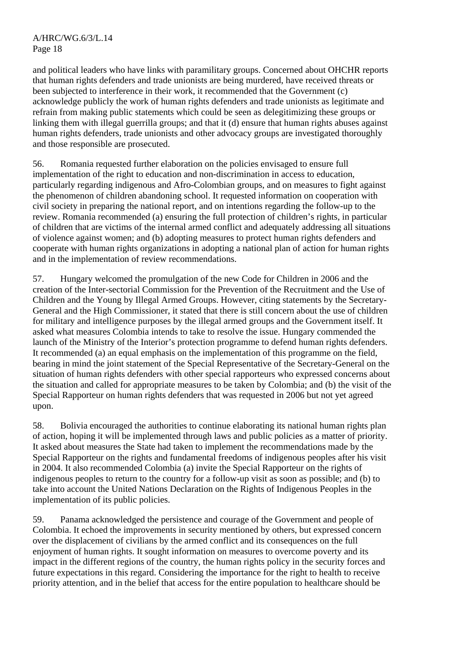and political leaders who have links with paramilitary groups. Concerned about OHCHR reports that human rights defenders and trade unionists are being murdered, have received threats or been subjected to interference in their work, it recommended that the Government (c) acknowledge publicly the work of human rights defenders and trade unionists as legitimate and refrain from making public statements which could be seen as delegitimizing these groups or linking them with illegal guerrilla groups; and that it (d) ensure that human rights abuses against human rights defenders, trade unionists and other advocacy groups are investigated thoroughly and those responsible are prosecuted.

56. Romania requested further elaboration on the policies envisaged to ensure full implementation of the right to education and non-discrimination in access to education, particularly regarding indigenous and Afro-Colombian groups, and on measures to fight against the phenomenon of children abandoning school. It requested information on cooperation with civil society in preparing the national report, and on intentions regarding the follow-up to the review. Romania recommended (a) ensuring the full protection of children's rights, in particular of children that are victims of the internal armed conflict and adequately addressing all situations of violence against women; and (b) adopting measures to protect human rights defenders and cooperate with human rights organizations in adopting a national plan of action for human rights and in the implementation of review recommendations.

57. Hungary welcomed the promulgation of the new Code for Children in 2006 and the creation of the Inter-sectorial Commission for the Prevention of the Recruitment and the Use of Children and the Young by Illegal Armed Groups. However, citing statements by the Secretary-General and the High Commissioner, it stated that there is still concern about the use of children for military and intelligence purposes by the illegal armed groups and the Government itself. It asked what measures Colombia intends to take to resolve the issue. Hungary commended the launch of the Ministry of the Interior's protection programme to defend human rights defenders. It recommended (a) an equal emphasis on the implementation of this programme on the field, bearing in mind the joint statement of the Special Representative of the Secretary-General on the situation of human rights defenders with other special rapporteurs who expressed concerns about the situation and called for appropriate measures to be taken by Colombia; and (b) the visit of the Special Rapporteur on human rights defenders that was requested in 2006 but not yet agreed upon.

58. Bolivia encouraged the authorities to continue elaborating its national human rights plan of action, hoping it will be implemented through laws and public policies as a matter of priority. It asked about measures the State had taken to implement the recommendations made by the Special Rapporteur on the rights and fundamental freedoms of indigenous peoples after his visit in 2004. It also recommended Colombia (a) invite the Special Rapporteur on the rights of indigenous peoples to return to the country for a follow-up visit as soon as possible; and (b) to take into account the United Nations Declaration on the Rights of Indigenous Peoples in the implementation of its public policies.

59. Panama acknowledged the persistence and courage of the Government and people of Colombia. It echoed the improvements in security mentioned by others, but expressed concern over the displacement of civilians by the armed conflict and its consequences on the full enjoyment of human rights. It sought information on measures to overcome poverty and its impact in the different regions of the country, the human rights policy in the security forces and future expectations in this regard. Considering the importance for the right to health to receive priority attention, and in the belief that access for the entire population to healthcare should be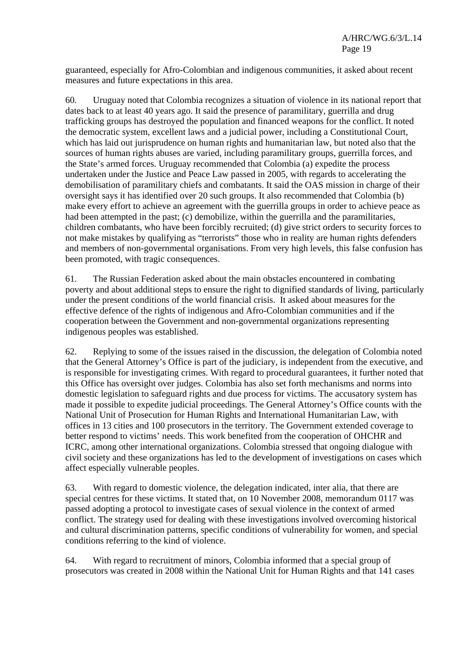guaranteed, especially for Afro-Colombian and indigenous communities, it asked about recent measures and future expectations in this area.

60. Uruguay noted that Colombia recognizes a situation of violence in its national report that dates back to at least 40 years ago. It said the presence of paramilitary, guerrilla and drug trafficking groups has destroyed the population and financed weapons for the conflict. It noted the democratic system, excellent laws and a judicial power, including a Constitutional Court, which has laid out jurisprudence on human rights and humanitarian law, but noted also that the sources of human rights abuses are varied, including paramilitary groups, guerrilla forces, and the State's armed forces. Uruguay recommended that Colombia (a) expedite the process undertaken under the Justice and Peace Law passed in 2005, with regards to accelerating the demobilisation of paramilitary chiefs and combatants. It said the OAS mission in charge of their oversight says it has identified over 20 such groups. It also recommended that Colombia (b) make every effort to achieve an agreement with the guerrilla groups in order to achieve peace as had been attempted in the past; (c) demobilize, within the guerrilla and the paramilitaries, children combatants, who have been forcibly recruited; (d) give strict orders to security forces to not make mistakes by qualifying as "terrorists" those who in reality are human rights defenders and members of non-governmental organisations. From very high levels, this false confusion has been promoted, with tragic consequences.

61. The Russian Federation asked about the main obstacles encountered in combating poverty and about additional steps to ensure the right to dignified standards of living, particularly under the present conditions of the world financial crisis. It asked about measures for the effective defence of the rights of indigenous and Afro-Colombian communities and if the cooperation between the Government and non-governmental organizations representing indigenous peoples was established.

62. Replying to some of the issues raised in the discussion, the delegation of Colombia noted that the General Attorney's Office is part of the judiciary, is independent from the executive, and is responsible for investigating crimes. With regard to procedural guarantees, it further noted that this Office has oversight over judges. Colombia has also set forth mechanisms and norms into domestic legislation to safeguard rights and due process for victims. The accusatory system has made it possible to expedite judicial proceedings. The General Attorney's Office counts with the National Unit of Prosecution for Human Rights and International Humanitarian Law, with offices in 13 cities and 100 prosecutors in the territory. The Government extended coverage to better respond to victims' needs. This work benefited from the cooperation of OHCHR and ICRC, among other international organizations. Colombia stressed that ongoing dialogue with civil society and these organizations has led to the development of investigations on cases which affect especially vulnerable peoples.

63. With regard to domestic violence, the delegation indicated, inter alia, that there are special centres for these victims. It stated that, on 10 November 2008, memorandum 0117 was passed adopting a protocol to investigate cases of sexual violence in the context of armed conflict. The strategy used for dealing with these investigations involved overcoming historical and cultural discrimination patterns, specific conditions of vulnerability for women, and special conditions referring to the kind of violence.

64. With regard to recruitment of minors, Colombia informed that a special group of prosecutors was created in 2008 within the National Unit for Human Rights and that 141 cases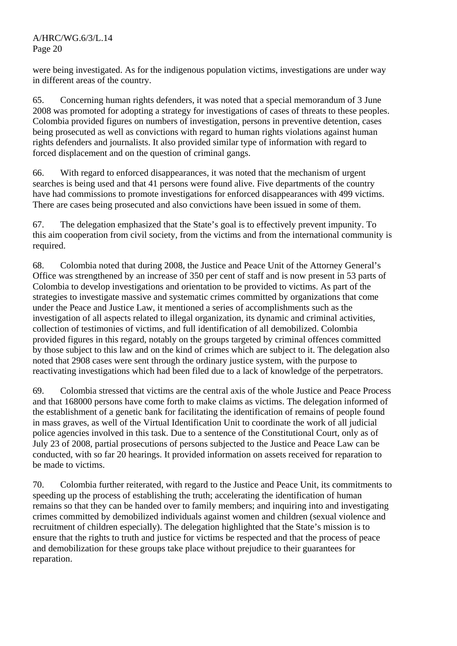were being investigated. As for the indigenous population victims, investigations are under way in different areas of the country.

65. Concerning human rights defenders, it was noted that a special memorandum of 3 June 2008 was promoted for adopting a strategy for investigations of cases of threats to these peoples. Colombia provided figures on numbers of investigation, persons in preventive detention, cases being prosecuted as well as convictions with regard to human rights violations against human rights defenders and journalists. It also provided similar type of information with regard to forced displacement and on the question of criminal gangs.

66. With regard to enforced disappearances, it was noted that the mechanism of urgent searches is being used and that 41 persons were found alive. Five departments of the country have had commissions to promote investigations for enforced disappearances with 499 victims. There are cases being prosecuted and also convictions have been issued in some of them.

67. The delegation emphasized that the State's goal is to effectively prevent impunity. To this aim cooperation from civil society, from the victims and from the international community is required.

68. Colombia noted that during 2008, the Justice and Peace Unit of the Attorney General's Office was strengthened by an increase of 350 per cent of staff and is now present in 53 parts of Colombia to develop investigations and orientation to be provided to victims. As part of the strategies to investigate massive and systematic crimes committed by organizations that come under the Peace and Justice Law, it mentioned a series of accomplishments such as the investigation of all aspects related to illegal organization, its dynamic and criminal activities, collection of testimonies of victims, and full identification of all demobilized. Colombia provided figures in this regard, notably on the groups targeted by criminal offences committed by those subject to this law and on the kind of crimes which are subject to it. The delegation also noted that 2908 cases were sent through the ordinary justice system, with the purpose to reactivating investigations which had been filed due to a lack of knowledge of the perpetrators.

69. Colombia stressed that victims are the central axis of the whole Justice and Peace Process and that 168000 persons have come forth to make claims as victims. The delegation informed of the establishment of a genetic bank for facilitating the identification of remains of people found in mass graves, as well of the Virtual Identification Unit to coordinate the work of all judicial police agencies involved in this task. Due to a sentence of the Constitutional Court, only as of July 23 of 2008, partial prosecutions of persons subjected to the Justice and Peace Law can be conducted, with so far 20 hearings. It provided information on assets received for reparation to be made to victims.

70. Colombia further reiterated, with regard to the Justice and Peace Unit, its commitments to speeding up the process of establishing the truth; accelerating the identification of human remains so that they can be handed over to family members; and inquiring into and investigating crimes committed by demobilized individuals against women and children (sexual violence and recruitment of children especially). The delegation highlighted that the State's mission is to ensure that the rights to truth and justice for victims be respected and that the process of peace and demobilization for these groups take place without prejudice to their guarantees for reparation.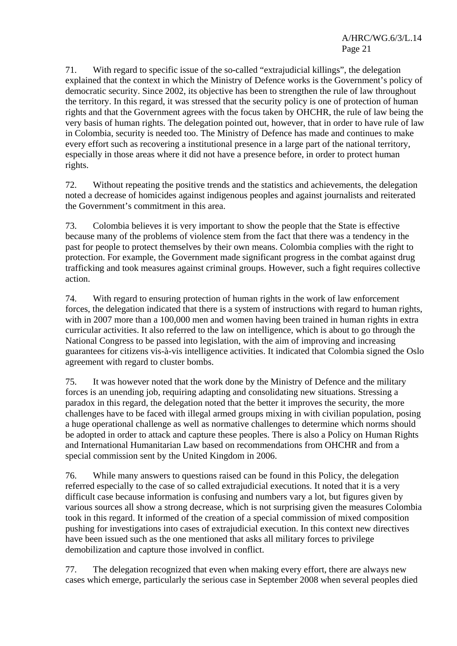71. With regard to specific issue of the so-called "extrajudicial killings", the delegation explained that the context in which the Ministry of Defence works is the Government's policy of democratic security. Since 2002, its objective has been to strengthen the rule of law throughout the territory. In this regard, it was stressed that the security policy is one of protection of human rights and that the Government agrees with the focus taken by OHCHR, the rule of law being the very basis of human rights. The delegation pointed out, however, that in order to have rule of law in Colombia, security is needed too. The Ministry of Defence has made and continues to make every effort such as recovering a institutional presence in a large part of the national territory, especially in those areas where it did not have a presence before, in order to protect human rights.

72. Without repeating the positive trends and the statistics and achievements, the delegation noted a decrease of homicides against indigenous peoples and against journalists and reiterated the Government's commitment in this area.

73. Colombia believes it is very important to show the people that the State is effective because many of the problems of violence stem from the fact that there was a tendency in the past for people to protect themselves by their own means. Colombia complies with the right to protection. For example, the Government made significant progress in the combat against drug trafficking and took measures against criminal groups. However, such a fight requires collective action.

74. With regard to ensuring protection of human rights in the work of law enforcement forces, the delegation indicated that there is a system of instructions with regard to human rights, with in 2007 more than a 100,000 men and women having been trained in human rights in extra curricular activities. It also referred to the law on intelligence, which is about to go through the National Congress to be passed into legislation, with the aim of improving and increasing guarantees for citizens vis-à-vis intelligence activities. It indicated that Colombia signed the Oslo agreement with regard to cluster bombs.

75. It was however noted that the work done by the Ministry of Defence and the military forces is an unending job, requiring adapting and consolidating new situations. Stressing a paradox in this regard, the delegation noted that the better it improves the security, the more challenges have to be faced with illegal armed groups mixing in with civilian population, posing a huge operational challenge as well as normative challenges to determine which norms should be adopted in order to attack and capture these peoples. There is also a Policy on Human Rights and International Humanitarian Law based on recommendations from OHCHR and from a special commission sent by the United Kingdom in 2006.

76. While many answers to questions raised can be found in this Policy, the delegation referred especially to the case of so called extrajudicial executions. It noted that it is a very difficult case because information is confusing and numbers vary a lot, but figures given by various sources all show a strong decrease, which is not surprising given the measures Colombia took in this regard. It informed of the creation of a special commission of mixed composition pushing for investigations into cases of extrajudicial execution. In this context new directives have been issued such as the one mentioned that asks all military forces to privilege demobilization and capture those involved in conflict.

77. The delegation recognized that even when making every effort, there are always new cases which emerge, particularly the serious case in September 2008 when several peoples died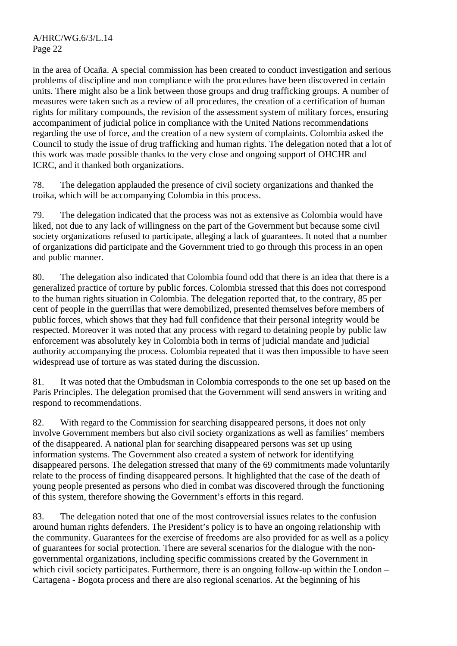in the area of Ocaña. A special commission has been created to conduct investigation and serious problems of discipline and non compliance with the procedures have been discovered in certain units. There might also be a link between those groups and drug trafficking groups. A number of measures were taken such as a review of all procedures, the creation of a certification of human rights for military compounds, the revision of the assessment system of military forces, ensuring accompaniment of judicial police in compliance with the United Nations recommendations regarding the use of force, and the creation of a new system of complaints. Colombia asked the Council to study the issue of drug trafficking and human rights. The delegation noted that a lot of this work was made possible thanks to the very close and ongoing support of OHCHR and ICRC, and it thanked both organizations.

78. The delegation applauded the presence of civil society organizations and thanked the troika, which will be accompanying Colombia in this process.

79. The delegation indicated that the process was not as extensive as Colombia would have liked, not due to any lack of willingness on the part of the Government but because some civil society organizations refused to participate, alleging a lack of guarantees. It noted that a number of organizations did participate and the Government tried to go through this process in an open and public manner.

80. The delegation also indicated that Colombia found odd that there is an idea that there is a generalized practice of torture by public forces. Colombia stressed that this does not correspond to the human rights situation in Colombia. The delegation reported that, to the contrary, 85 per cent of people in the guerrillas that were demobilized, presented themselves before members of public forces, which shows that they had full confidence that their personal integrity would be respected. Moreover it was noted that any process with regard to detaining people by public law enforcement was absolutely key in Colombia both in terms of judicial mandate and judicial authority accompanying the process. Colombia repeated that it was then impossible to have seen widespread use of torture as was stated during the discussion.

81. It was noted that the Ombudsman in Colombia corresponds to the one set up based on the Paris Principles. The delegation promised that the Government will send answers in writing and respond to recommendations.

82. With regard to the Commission for searching disappeared persons, it does not only involve Government members but also civil society organizations as well as families' members of the disappeared. A national plan for searching disappeared persons was set up using information systems. The Government also created a system of network for identifying disappeared persons. The delegation stressed that many of the 69 commitments made voluntarily relate to the process of finding disappeared persons. It highlighted that the case of the death of young people presented as persons who died in combat was discovered through the functioning of this system, therefore showing the Government's efforts in this regard.

83. The delegation noted that one of the most controversial issues relates to the confusion around human rights defenders. The President's policy is to have an ongoing relationship with the community. Guarantees for the exercise of freedoms are also provided for as well as a policy of guarantees for social protection. There are several scenarios for the dialogue with the nongovernmental organizations, including specific commissions created by the Government in which civil society participates. Furthermore, there is an ongoing follow-up within the London – Cartagena - Bogota process and there are also regional scenarios. At the beginning of his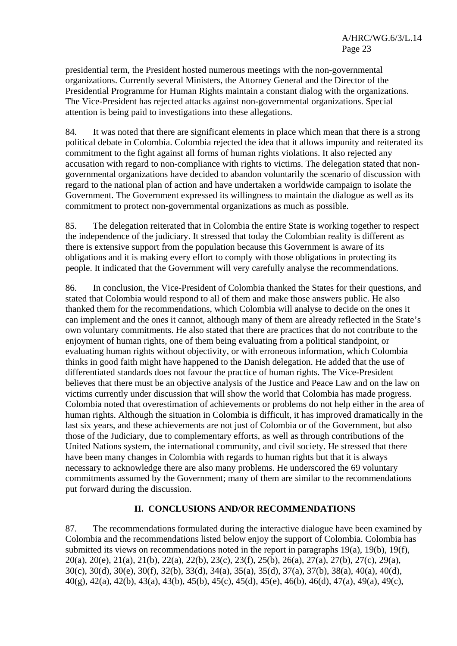presidential term, the President hosted numerous meetings with the non-governmental organizations. Currently several Ministers, the Attorney General and the Director of the Presidential Programme for Human Rights maintain a constant dialog with the organizations. The Vice-President has rejected attacks against non-governmental organizations. Special attention is being paid to investigations into these allegations.

84. It was noted that there are significant elements in place which mean that there is a strong political debate in Colombia. Colombia rejected the idea that it allows impunity and reiterated its commitment to the fight against all forms of human rights violations. It also rejected any accusation with regard to non-compliance with rights to victims. The delegation stated that nongovernmental organizations have decided to abandon voluntarily the scenario of discussion with regard to the national plan of action and have undertaken a worldwide campaign to isolate the Government. The Government expressed its willingness to maintain the dialogue as well as its commitment to protect non-governmental organizations as much as possible.

85. The delegation reiterated that in Colombia the entire State is working together to respect the independence of the judiciary. It stressed that today the Colombian reality is different as there is extensive support from the population because this Government is aware of its obligations and it is making every effort to comply with those obligations in protecting its people. It indicated that the Government will very carefully analyse the recommendations.

86. In conclusion, the Vice-President of Colombia thanked the States for their questions, and stated that Colombia would respond to all of them and make those answers public. He also thanked them for the recommendations, which Colombia will analyse to decide on the ones it can implement and the ones it cannot, although many of them are already reflected in the State's own voluntary commitments. He also stated that there are practices that do not contribute to the enjoyment of human rights, one of them being evaluating from a political standpoint, or evaluating human rights without objectivity, or with erroneous information, which Colombia thinks in good faith might have happened to the Danish delegation. He added that the use of differentiated standards does not favour the practice of human rights. The Vice-President believes that there must be an objective analysis of the Justice and Peace Law and on the law on victims currently under discussion that will show the world that Colombia has made progress. Colombia noted that overestimation of achievements or problems do not help either in the area of human rights. Although the situation in Colombia is difficult, it has improved dramatically in the last six years, and these achievements are not just of Colombia or of the Government, but also those of the Judiciary, due to complementary efforts, as well as through contributions of the United Nations system, the international community, and civil society. He stressed that there have been many changes in Colombia with regards to human rights but that it is always necessary to acknowledge there are also many problems. He underscored the 69 voluntary commitments assumed by the Government; many of them are similar to the recommendations put forward during the discussion.

# **II. CONCLUSIONS AND/OR RECOMMENDATIONS**

87. The recommendations formulated during the interactive dialogue have been examined by Colombia and the recommendations listed below enjoy the support of Colombia. Colombia has submitted its views on recommendations noted in the report in paragraphs 19(a), 19(b), 19(f), 20(a), 20(e), 21(a), 21(b), 22(a), 22(b), 23(c), 23(f), 25(b), 26(a), 27(a), 27(b), 27(c), 29(a), 30(c), 30(d), 30(e), 30(f), 32(b), 33(d), 34(a), 35(a), 35(d), 37(a), 37(b), 38(a), 40(a), 40(d), 40(g), 42(a), 42(b), 43(a), 43(b), 45(b), 45(c), 45(d), 45(e), 46(b), 46(d), 47(a), 49(a), 49(c),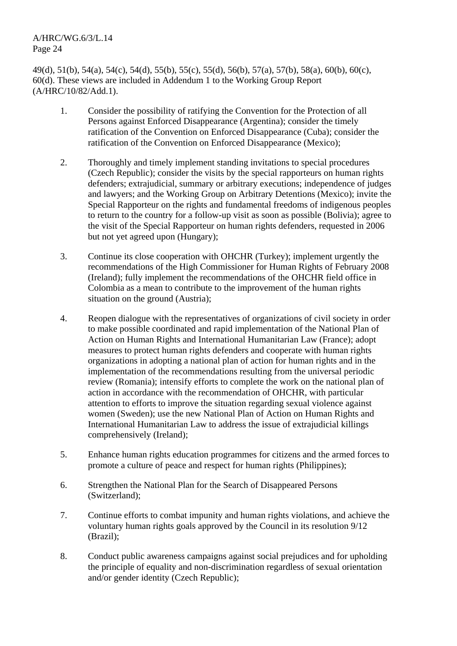A/HRC/WG.6/3/L.14 Page 24

49(d), 51(b), 54(a), 54(c), 54(d), 55(b), 55(c), 55(d), 56(b), 57(a), 57(b), 58(a), 60(b), 60(c), 60(d). These views are included in Addendum 1 to the Working Group Report (A/HRC/10/82/Add.1).

- 1. Consider the possibility of ratifying the Convention for the Protection of all Persons against Enforced Disappearance (Argentina); consider the timely ratification of the Convention on Enforced Disappearance (Cuba); consider the ratification of the Convention on Enforced Disappearance (Mexico);
- 2. Thoroughly and timely implement standing invitations to special procedures (Czech Republic); consider the visits by the special rapporteurs on human rights defenders; extrajudicial, summary or arbitrary executions; independence of judges and lawyers; and the Working Group on Arbitrary Detentions (Mexico); invite the Special Rapporteur on the rights and fundamental freedoms of indigenous peoples to return to the country for a follow-up visit as soon as possible (Bolivia); agree to the visit of the Special Rapporteur on human rights defenders, requested in 2006 but not yet agreed upon (Hungary);
- 3. Continue its close cooperation with OHCHR (Turkey); implement urgently the recommendations of the High Commissioner for Human Rights of February 2008 (Ireland); fully implement the recommendations of the OHCHR field office in Colombia as a mean to contribute to the improvement of the human rights situation on the ground (Austria);
- 4. Reopen dialogue with the representatives of organizations of civil society in order to make possible coordinated and rapid implementation of the National Plan of Action on Human Rights and International Humanitarian Law (France); adopt measures to protect human rights defenders and cooperate with human rights organizations in adopting a national plan of action for human rights and in the implementation of the recommendations resulting from the universal periodic review (Romania); intensify efforts to complete the work on the national plan of action in accordance with the recommendation of OHCHR, with particular attention to efforts to improve the situation regarding sexual violence against women (Sweden); use the new National Plan of Action on Human Rights and International Humanitarian Law to address the issue of extrajudicial killings comprehensively (Ireland);
- 5. Enhance human rights education programmes for citizens and the armed forces to promote a culture of peace and respect for human rights (Philippines);
- 6. Strengthen the National Plan for the Search of Disappeared Persons (Switzerland);
- 7. Continue efforts to combat impunity and human rights violations, and achieve the voluntary human rights goals approved by the Council in its resolution 9/12 (Brazil);
- 8. Conduct public awareness campaigns against social prejudices and for upholding the principle of equality and non-discrimination regardless of sexual orientation and/or gender identity (Czech Republic);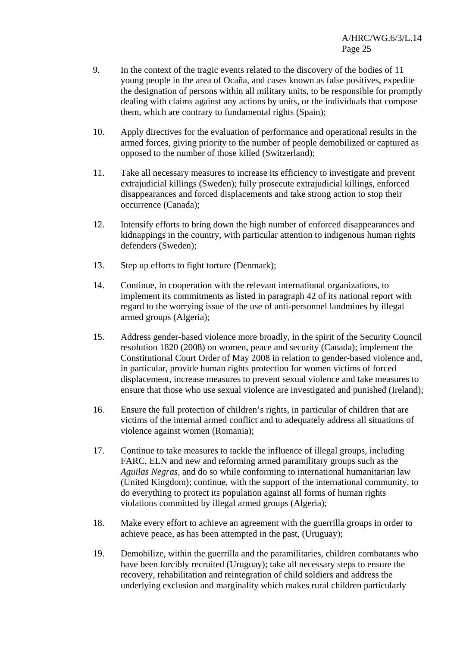- 9. In the context of the tragic events related to the discovery of the bodies of 11 young people in the area of Ocaña, and cases known as false positives, expedite the designation of persons within all military units, to be responsible for promptly dealing with claims against any actions by units, or the individuals that compose them, which are contrary to fundamental rights (Spain);
- 10. Apply directives for the evaluation of performance and operational results in the armed forces, giving priority to the number of people demobilized or captured as opposed to the number of those killed (Switzerland);
- 11. Take all necessary measures to increase its efficiency to investigate and prevent extrajudicial killings (Sweden); fully prosecute extrajudicial killings, enforced disappearances and forced displacements and take strong action to stop their occurrence (Canada);
- 12. Intensify efforts to bring down the high number of enforced disappearances and kidnappings in the country, with particular attention to indigenous human rights defenders (Sweden);
- 13. Step up efforts to fight torture (Denmark);
- 14. Continue, in cooperation with the relevant international organizations, to implement its commitments as listed in paragraph 42 of its national report with regard to the worrying issue of the use of anti-personnel landmines by illegal armed groups (Algeria);
- 15. Address gender-based violence more broadly, in the spirit of the Security Council resolution 1820 (2008) on women, peace and security (Canada); implement the Constitutional Court Order of May 2008 in relation to gender-based violence and, in particular, provide human rights protection for women victims of forced displacement, increase measures to prevent sexual violence and take measures to ensure that those who use sexual violence are investigated and punished (Ireland);
- 16. Ensure the full protection of children's rights, in particular of children that are victims of the internal armed conflict and to adequately address all situations of violence against women (Romania);
- 17. Continue to take measures to tackle the influence of illegal groups, including FARC, ELN and new and reforming armed paramilitary groups such as the *Aguilas Negras*, and do so while conforming to international humanitarian law (United Kingdom); continue, with the support of the international community, to do everything to protect its population against all forms of human rights violations committed by illegal armed groups (Algeria);
- 18. Make every effort to achieve an agreement with the guerrilla groups in order to achieve peace, as has been attempted in the past, (Uruguay);
- 19. Demobilize, within the guerrilla and the paramilitaries, children combatants who have been forcibly recruited (Uruguay); take all necessary steps to ensure the recovery, rehabilitation and reintegration of child soldiers and address the underlying exclusion and marginality which makes rural children particularly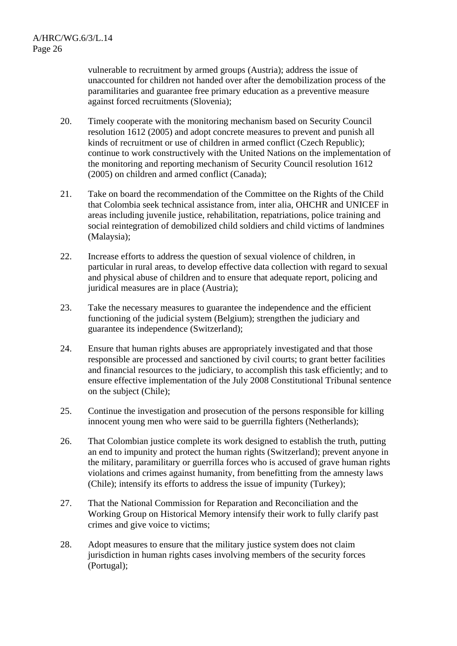vulnerable to recruitment by armed groups (Austria); address the issue of unaccounted for children not handed over after the demobilization process of the paramilitaries and guarantee free primary education as a preventive measure against forced recruitments (Slovenia);

- 20. Timely cooperate with the monitoring mechanism based on Security Council resolution 1612 (2005) and adopt concrete measures to prevent and punish all kinds of recruitment or use of children in armed conflict (Czech Republic); continue to work constructively with the United Nations on the implementation of the monitoring and reporting mechanism of Security Council resolution 1612 (2005) on children and armed conflict (Canada);
- 21. Take on board the recommendation of the Committee on the Rights of the Child that Colombia seek technical assistance from, inter alia, OHCHR and UNICEF in areas including juvenile justice, rehabilitation, repatriations, police training and social reintegration of demobilized child soldiers and child victims of landmines (Malaysia);
- 22. Increase efforts to address the question of sexual violence of children, in particular in rural areas, to develop effective data collection with regard to sexual and physical abuse of children and to ensure that adequate report, policing and juridical measures are in place (Austria);
- 23. Take the necessary measures to guarantee the independence and the efficient functioning of the judicial system (Belgium); strengthen the judiciary and guarantee its independence (Switzerland);
- 24. Ensure that human rights abuses are appropriately investigated and that those responsible are processed and sanctioned by civil courts; to grant better facilities and financial resources to the judiciary, to accomplish this task efficiently; and to ensure effective implementation of the July 2008 Constitutional Tribunal sentence on the subject (Chile);
- 25. Continue the investigation and prosecution of the persons responsible for killing innocent young men who were said to be guerrilla fighters (Netherlands);
- 26. That Colombian justice complete its work designed to establish the truth, putting an end to impunity and protect the human rights (Switzerland); prevent anyone in the military, paramilitary or guerrilla forces who is accused of grave human rights violations and crimes against humanity, from benefitting from the amnesty laws (Chile); intensify its efforts to address the issue of impunity (Turkey);
- 27. That the National Commission for Reparation and Reconciliation and the Working Group on Historical Memory intensify their work to fully clarify past crimes and give voice to victims;
- 28. Adopt measures to ensure that the military justice system does not claim jurisdiction in human rights cases involving members of the security forces (Portugal);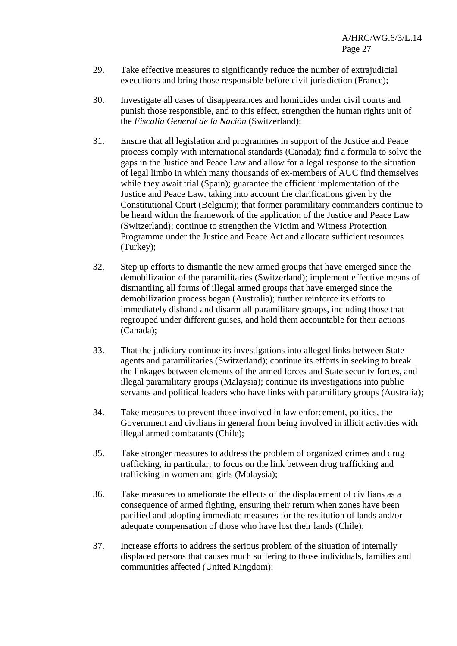- 29. Take effective measures to significantly reduce the number of extrajudicial executions and bring those responsible before civil jurisdiction (France);
- 30. Investigate all cases of disappearances and homicides under civil courts and punish those responsible, and to this effect, strengthen the human rights unit of the *Fiscalia General de la Nación* (Switzerland);
- 31. Ensure that all legislation and programmes in support of the Justice and Peace process comply with international standards (Canada); find a formula to solve the gaps in the Justice and Peace Law and allow for a legal response to the situation of legal limbo in which many thousands of ex-members of AUC find themselves while they await trial (Spain); guarantee the efficient implementation of the Justice and Peace Law, taking into account the clarifications given by the Constitutional Court (Belgium); that former paramilitary commanders continue to be heard within the framework of the application of the Justice and Peace Law (Switzerland); continue to strengthen the Victim and Witness Protection Programme under the Justice and Peace Act and allocate sufficient resources (Turkey);
- 32. Step up efforts to dismantle the new armed groups that have emerged since the demobilization of the paramilitaries (Switzerland); implement effective means of dismantling all forms of illegal armed groups that have emerged since the demobilization process began (Australia); further reinforce its efforts to immediately disband and disarm all paramilitary groups, including those that regrouped under different guises, and hold them accountable for their actions (Canada);
- 33. That the judiciary continue its investigations into alleged links between State agents and paramilitaries (Switzerland); continue its efforts in seeking to break the linkages between elements of the armed forces and State security forces, and illegal paramilitary groups (Malaysia); continue its investigations into public servants and political leaders who have links with paramilitary groups (Australia);
- 34. Take measures to prevent those involved in law enforcement, politics, the Government and civilians in general from being involved in illicit activities with illegal armed combatants (Chile);
- 35. Take stronger measures to address the problem of organized crimes and drug trafficking, in particular, to focus on the link between drug trafficking and trafficking in women and girls (Malaysia);
- 36. Take measures to ameliorate the effects of the displacement of civilians as a consequence of armed fighting, ensuring their return when zones have been pacified and adopting immediate measures for the restitution of lands and/or adequate compensation of those who have lost their lands (Chile);
- 37. Increase efforts to address the serious problem of the situation of internally displaced persons that causes much suffering to those individuals, families and communities affected (United Kingdom);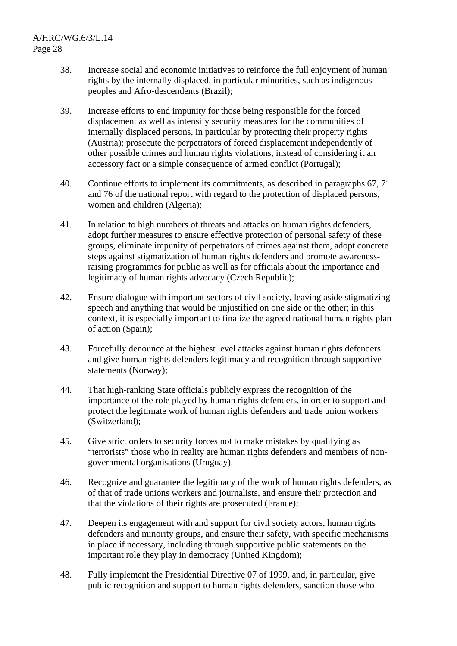- 38. Increase social and economic initiatives to reinforce the full enjoyment of human rights by the internally displaced, in particular minorities, such as indigenous peoples and Afro-descendents (Brazil);
- 39. Increase efforts to end impunity for those being responsible for the forced displacement as well as intensify security measures for the communities of internally displaced persons, in particular by protecting their property rights (Austria); prosecute the perpetrators of forced displacement independently of other possible crimes and human rights violations, instead of considering it an accessory fact or a simple consequence of armed conflict (Portugal);
- 40. Continue efforts to implement its commitments, as described in paragraphs 67, 71 and 76 of the national report with regard to the protection of displaced persons, women and children (Algeria);
- 41. In relation to high numbers of threats and attacks on human rights defenders, adopt further measures to ensure effective protection of personal safety of these groups, eliminate impunity of perpetrators of crimes against them, adopt concrete steps against stigmatization of human rights defenders and promote awarenessraising programmes for public as well as for officials about the importance and legitimacy of human rights advocacy (Czech Republic);
- 42. Ensure dialogue with important sectors of civil society, leaving aside stigmatizing speech and anything that would be unjustified on one side or the other; in this context, it is especially important to finalize the agreed national human rights plan of action (Spain);
- 43. Forcefully denounce at the highest level attacks against human rights defenders and give human rights defenders legitimacy and recognition through supportive statements (Norway);
- 44. That high-ranking State officials publicly express the recognition of the importance of the role played by human rights defenders, in order to support and protect the legitimate work of human rights defenders and trade union workers (Switzerland);
- 45. Give strict orders to security forces not to make mistakes by qualifying as "terrorists" those who in reality are human rights defenders and members of nongovernmental organisations (Uruguay).
- 46. Recognize and guarantee the legitimacy of the work of human rights defenders, as of that of trade unions workers and journalists, and ensure their protection and that the violations of their rights are prosecuted (France);
- 47. Deepen its engagement with and support for civil society actors, human rights defenders and minority groups, and ensure their safety, with specific mechanisms in place if necessary, including through supportive public statements on the important role they play in democracy (United Kingdom);
- 48. Fully implement the Presidential Directive 07 of 1999, and, in particular, give public recognition and support to human rights defenders, sanction those who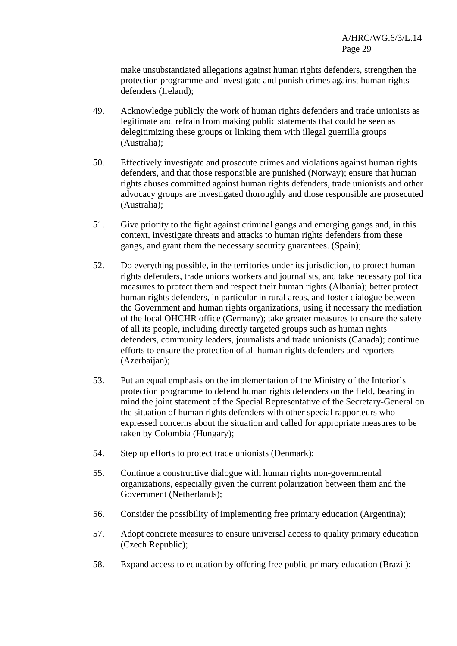make unsubstantiated allegations against human rights defenders, strengthen the protection programme and investigate and punish crimes against human rights defenders (Ireland);

- 49. Acknowledge publicly the work of human rights defenders and trade unionists as legitimate and refrain from making public statements that could be seen as delegitimizing these groups or linking them with illegal guerrilla groups (Australia);
- 50. Effectively investigate and prosecute crimes and violations against human rights defenders, and that those responsible are punished (Norway); ensure that human rights abuses committed against human rights defenders, trade unionists and other advocacy groups are investigated thoroughly and those responsible are prosecuted (Australia);
- 51. Give priority to the fight against criminal gangs and emerging gangs and, in this context, investigate threats and attacks to human rights defenders from these gangs, and grant them the necessary security guarantees. (Spain);
- 52. Do everything possible, in the territories under its jurisdiction, to protect human rights defenders, trade unions workers and journalists, and take necessary political measures to protect them and respect their human rights (Albania); better protect human rights defenders, in particular in rural areas, and foster dialogue between the Government and human rights organizations, using if necessary the mediation of the local OHCHR office (Germany); take greater measures to ensure the safety of all its people, including directly targeted groups such as human rights defenders, community leaders, journalists and trade unionists (Canada); continue efforts to ensure the protection of all human rights defenders and reporters (Azerbaijan);
- 53. Put an equal emphasis on the implementation of the Ministry of the Interior's protection programme to defend human rights defenders on the field, bearing in mind the joint statement of the Special Representative of the Secretary-General on the situation of human rights defenders with other special rapporteurs who expressed concerns about the situation and called for appropriate measures to be taken by Colombia (Hungary);
- 54. Step up efforts to protect trade unionists (Denmark);
- 55. Continue a constructive dialogue with human rights non-governmental organizations, especially given the current polarization between them and the Government (Netherlands);
- 56. Consider the possibility of implementing free primary education (Argentina);
- 57. Adopt concrete measures to ensure universal access to quality primary education (Czech Republic);
- 58. Expand access to education by offering free public primary education (Brazil);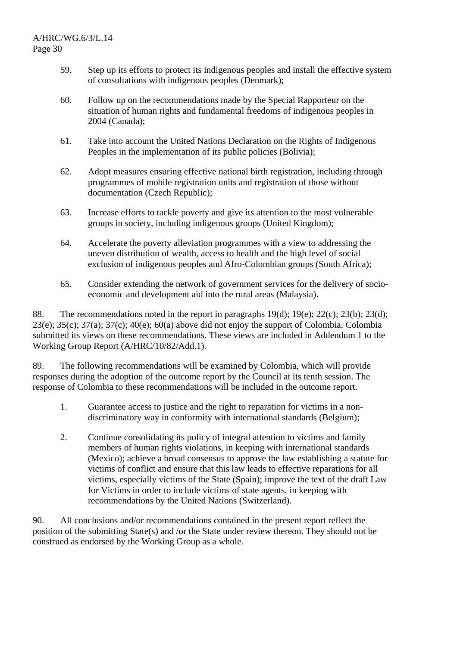- 59. Step up its efforts to protect its indigenous peoples and install the effective system of consultations with indigenous peoples (Denmark);
- 60. Follow up on the recommendations made by the Special Rapporteur on the situation of human rights and fundamental freedoms of indigenous peoples in 2004 (Canada);
- 61. Take into account the United Nations Declaration on the Rights of Indigenous Peoples in the implementation of its public policies (Bolivia);
- 62. Adopt measures ensuring effective national birth registration, including through programmes of mobile registration units and registration of those without documentation (Czech Republic);
- 63. Increase efforts to tackle poverty and give its attention to the most vulnerable groups in society, including indigenous groups (United Kingdom);
- 64. Accelerate the poverty alleviation programmes with a view to addressing the uneven distribution of wealth, access to health and the high level of social exclusion of indigenous peoples and Afro-Colombian groups (South Africa);
- 65. Consider extending the network of government services for the delivery of socioeconomic and development aid into the rural areas (Malaysia).

88. The recommendations noted in the report in paragraphs  $19(d)$ ;  $19(e)$ ;  $22(c)$ ;  $23(b)$ ;  $23(d)$ ;  $23(e)$ ;  $35(c)$ ;  $37(a)$ ;  $37(c)$ ;  $40(e)$ ;  $60(a)$  above did not enjoy the support of Colombia. Colombia submitted its views on these recommendations. These views are included in Addendum 1 to the Working Group Report (A/HRC/10/82/Add.1).

89. The following recommendations will be examined by Colombia, which will provide responses during the adoption of the outcome report by the Council at its tenth session. The response of Colombia to these recommendations will be included in the outcome report.

- 1. Guarantee access to justice and the right to reparation for victims in a nondiscriminatory way in conformity with international standards (Belgium);
- 2. Continue consolidating its policy of integral attention to victims and family members of human rights violations, in keeping with international standards (Mexico); achieve a broad consensus to approve the law establishing a statute for victims of conflict and ensure that this law leads to effective reparations for all victims, especially victims of the State (Spain); improve the text of the draft Law for Victims in order to include victims of state agents, in keeping with recommendations by the United Nations (Switzerland).

90. All conclusions and/or recommendations contained in the present report reflect the position of the submitting State(s) and /or the State under review thereon. They should not be construed as endorsed by the Working Group as a whole.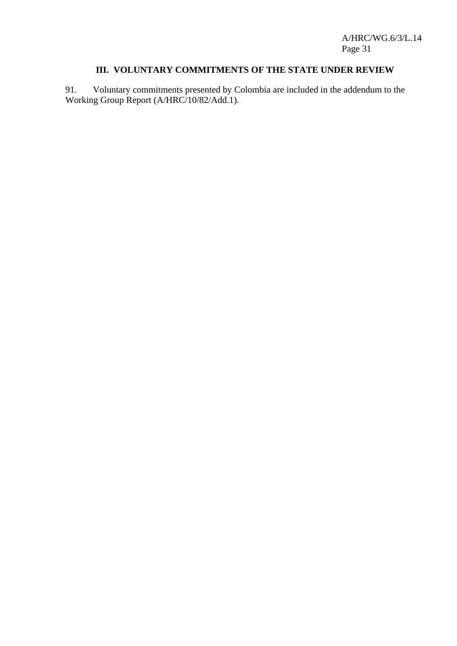A/HRC/WG.6/3/L.14 Page 31

# **III. VOLUNTARY COMMITMENTS OF THE STATE UNDER REVIEW**

91. Voluntary commitments presented by Colombia are included in the addendum to the Working Group Report (A/HRC/10/82/Add.1).